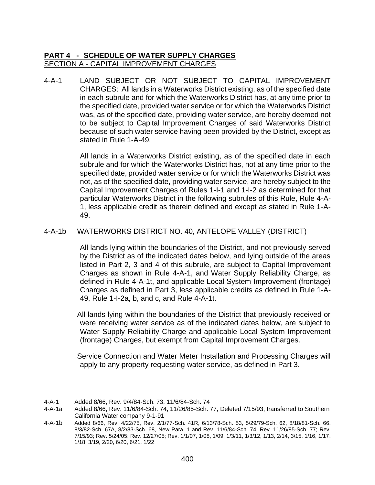4-A-1 LAND SUBJECT OR NOT SUBJECT TO CAPITAL IMPROVEMENT CHARGES: All lands in a Waterworks District existing, as of the specified date in each subrule and for which the Waterworks District has, at any time prior to the specified date, provided water service or for which the Waterworks District was, as of the specified date, providing water service, are hereby deemed not to be subject to Capital Improvement Charges of said Waterworks District because of such water service having been provided by the District, except as stated in Rule 1-A-49.

> All lands in a Waterworks District existing, as of the specified date in each subrule and for which the Waterworks District has, not at any time prior to the specified date, provided water service or for which the Waterworks District was not, as of the specified date, providing water service, are hereby subject to the Capital Improvement Charges of Rules 1-I-1 and 1-I-2 as determined for that particular Waterworks District in the following subrules of this Rule, Rule 4-A-1, less applicable credit as therein defined and except as stated in Rule 1-A-49.

## 4-A-1b WATERWORKS DISTRICT NO. 40, ANTELOPE VALLEY (DISTRICT)

All lands lying within the boundaries of the District, and not previously served by the District as of the indicated dates below, and lying outside of the areas listed in Part 2, 3 and 4 of this subrule, are subject to Capital Improvement Charges as shown in Rule 4-A-1, and Water Supply Reliability Charge, as defined in Rule 4-A-1t, and applicable Local System Improvement (frontage) Charges as defined in Part 3, less applicable credits as defined in Rule 1-A-49, Rule 1-I-2a, b, and c, and Rule 4-A-1t.

All lands lying within the boundaries of the District that previously received or were receiving water service as of the indicated dates below, are subject to Water Supply Reliability Charge and applicable Local System Improvement (frontage) Charges, but exempt from Capital Improvement Charges.

Service Connection and Water Meter Installation and Processing Charges will apply to any property requesting water service, as defined in Part 3.

4-A-1 Added 8/66, Rev. 9/4/84-Sch. 73, 11/6/84-Sch. 74

4-A-1b Added 8/66, Rev. 4/22/75, Rev. 2/1/77-Sch. 41R, 6/13/78-Sch. 53, 5/29/79-Sch. 62, 8/18/81-Sch. 66, 8/3/82-Sch. 67A, 8/2/83-Sch. 68, New Para. 1 and Rev. 11/6/84-Sch. 74; Rev. 11/26/85-Sch. 77; Rev. 7/15/93; Rev. 5/24/05; Rev. 12/27/05; Rev. 1/1/07, 1/08, 1/09, 1/3/11, 1/3/12, 1/13, 2/14, 3/15, 1/16, 1/17, 1/18, 3/19, 2/20, 6/20, 6/21, 1/22

<sup>4-</sup>A-1a Added 8/66, Rev. 11/6/84-Sch. 74, 11/26/85-Sch. 77, Deleted 7/15/93, transferred to Southern California Water company 9-1-91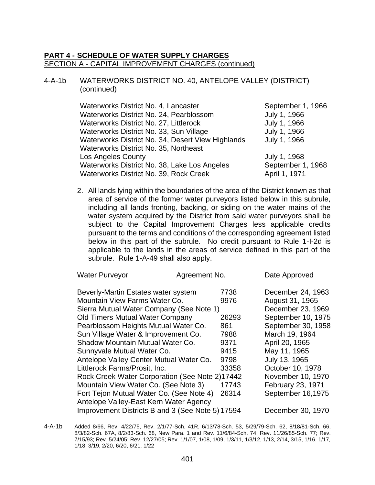## 4-A-1b WATERWORKS DISTRICT NO. 40, ANTELOPE VALLEY (DISTRICT) (continued)

| Waterworks District No. 4, Lancaster              | September 1, 1966 |
|---------------------------------------------------|-------------------|
| Waterworks District No. 24, Pearblossom           | July 1, 1966      |
| Waterworks District No. 27, Littlerock            | July 1, 1966      |
| Waterworks District No. 33, Sun Village           | July 1, 1966      |
| Waterworks District No. 34, Desert View Highlands | July 1, 1966      |
| Waterworks District No. 35, Northeast             |                   |
| Los Angeles County                                | July 1, 1968      |
| Waterworks District No. 38, Lake Los Angeles      | September 1, 1968 |
| Waterworks District No. 39, Rock Creek            | April 1, 1971     |

2. All lands lying within the boundaries of the area of the District known as that area of service of the former water purveyors listed below in this subrule, including all lands fronting, backing, or siding on the water mains of the water system acquired by the District from said water purveyors shall be subject to the Capital Improvement Charges less applicable credits pursuant to the terms and conditions of the corresponding agreement listed below in this part of the subrule. No credit pursuant to Rule 1-I-2d is applicable to the lands in the areas of service defined in this part of the subrule. Rule 1-A-49 shall also apply.

| <b>Water Purveyor</b>                            | Agreement No. |       | Date Approved      |
|--------------------------------------------------|---------------|-------|--------------------|
| Beverly-Martin Estates water system              |               | 7738  | December 24, 1963  |
| Mountain View Farms Water Co.                    |               | 9976  | August 31, 1965    |
| Sierra Mutual Water Company (See Note 1)         |               |       | December 23, 1969  |
| <b>Old Timers Mutual Water Company</b>           |               | 26293 | September 10, 1975 |
| Pearblossom Heights Mutual Water Co.             |               | 861   | September 30, 1958 |
| Sun Village Water & Improvement Co.              |               | 7988  | March 19, 1964     |
| Shadow Mountain Mutual Water Co.                 |               | 9371  | April 20, 1965     |
| Sunnyvale Mutual Water Co.                       |               | 9415  | May 11, 1965       |
| Antelope Valley Center Mutual Water Co.          |               | 9798  | July 13, 1965      |
| Littlerock Farms/Prosit, Inc.                    |               | 33358 | October 10, 1978   |
| Rock Creek Water Corporation (See Note 2)17442   |               |       | November 10, 1970  |
| Mountain View Water Co. (See Note 3)             |               | 17743 | February 23, 1971  |
| Fort Tejon Mutual Water Co. (See Note 4)         |               | 26314 | September 16,1975  |
| Antelope Valley-East Kern Water Agency           |               |       |                    |
| Improvement Districts B and 3 (See Note 5) 17594 |               |       | December 30, 1970  |
|                                                  |               |       |                    |

<sup>4-</sup>A-1b Added 8/66, Rev. 4/22/75, Rev. 2/1/77-Sch. 41R, 6/13/78-Sch. 53, 5/29/79-Sch. 62, 8/18/81-Sch. 66, 8/3/82-Sch. 67A, 8/2/83-Sch. 68, New Para. 1 and Rev. 11/6/84-Sch. 74; Rev. 11/26/85-Sch. 77; Rev. 7/15/93; Rev. 5/24/05; Rev. 12/27/05; Rev. 1/1/07, 1/08, 1/09, 1/3/11, 1/3/12, 1/13, 2/14, 3/15, 1/16, 1/17, 1/18, 3/19, 2/20, 6/20, 6/21, 1/22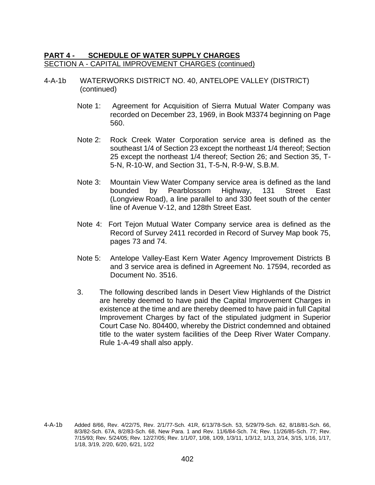- 4-A-1b WATERWORKS DISTRICT NO. 40, ANTELOPE VALLEY (DISTRICT) (continued)
	- Note 1: Agreement for Acquisition of Sierra Mutual Water Company was recorded on December 23, 1969, in Book M3374 beginning on Page 560.
	- Note 2: Rock Creek Water Corporation service area is defined as the southeast 1/4 of Section 23 except the northeast 1/4 thereof; Section 25 except the northeast 1/4 thereof; Section 26; and Section 35, T-5-N, R-10-W, and Section 31, T-5-N, R-9-W, S.B.M.
	- Note 3: Mountain View Water Company service area is defined as the land bounded by Pearblossom Highway, 131 Street East (Longview Road), a line parallel to and 330 feet south of the center line of Avenue V-12, and 128th Street East.
	- Note 4: Fort Tejon Mutual Water Company service area is defined as the Record of Survey 2411 recorded in Record of Survey Map book 75, pages 73 and 74.
	- Note 5: Antelope Valley-East Kern Water Agency Improvement Districts B and 3 service area is defined in Agreement No. 17594, recorded as Document No. 3516.
	- 3. The following described lands in Desert View Highlands of the District are hereby deemed to have paid the Capital Improvement Charges in existence at the time and are thereby deemed to have paid in full Capital Improvement Charges by fact of the stipulated judgment in Superior Court Case No. 804400, whereby the District condemned and obtained title to the water system facilities of the Deep River Water Company. Rule 1-A-49 shall also apply.

<sup>4-</sup>A-1b Added 8/66, Rev. 4/22/75, Rev. 2/1/77-Sch. 41R, 6/13/78-Sch. 53, 5/29/79-Sch. 62, 8/18/81-Sch. 66, 8/3/82-Sch. 67A, 8/2/83-Sch. 68, New Para. 1 and Rev. 11/6/84-Sch. 74; Rev. 11/26/85-Sch. 77; Rev. 7/15/93; Rev. 5/24/05; Rev. 12/27/05; Rev. 1/1/07, 1/08, 1/09, 1/3/11, 1/3/12, 1/13, 2/14, 3/15, 1/16, 1/17, 1/18, 3/19, 2/20, 6/20, 6/21, 1/22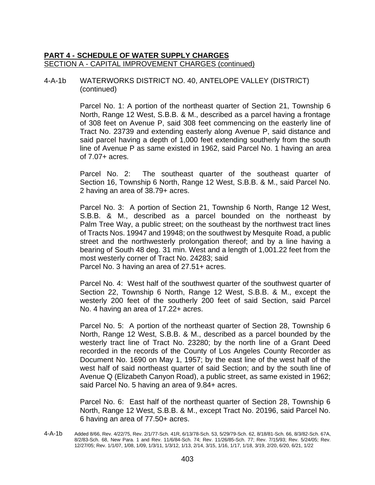#### 4-A-1b WATERWORKS DISTRICT NO. 40, ANTELOPE VALLEY (DISTRICT) (continued)

Parcel No. 1: A portion of the northeast quarter of Section 21, Township 6 North, Range 12 West, S.B.B. & M., described as a parcel having a frontage of 308 feet on Avenue P, said 308 feet commencing on the easterly line of Tract No. 23739 and extending easterly along Avenue P, said distance and said parcel having a depth of 1,000 feet extending southerly from the south line of Avenue P as same existed in 1962, said Parcel No. 1 having an area of 7.07+ acres.

Parcel No. 2: The southeast quarter of the southeast quarter of Section 16, Township 6 North, Range 12 West, S.B.B. & M., said Parcel No. 2 having an area of 38.79+ acres.

Parcel No. 3: A portion of Section 21, Township 6 North, Range 12 West, S.B.B. & M., described as a parcel bounded on the northeast by Palm Tree Way, a public street; on the southeast by the northwest tract lines of Tracts Nos. 19947 and 19948; on the southwest by Mesquite Road, a public street and the northwesterly prolongation thereof; and by a line having a bearing of South 48 deg. 31 min. West and a length of 1,001.22 feet from the most westerly corner of Tract No. 24283; said Parcel No. 3 having an area of 27.51+ acres.

Parcel No. 4: West half of the southwest quarter of the southwest quarter of Section 22, Township 6 North, Range 12 West, S.B.B. & M., except the westerly 200 feet of the southerly 200 feet of said Section, said Parcel No. 4 having an area of 17.22+ acres.

Parcel No. 5: A portion of the northeast quarter of Section 28, Township 6 North, Range 12 West, S.B.B. & M., described as a parcel bounded by the westerly tract line of Tract No. 23280; by the north line of a Grant Deed recorded in the records of the County of Los Angeles County Recorder as Document No. 1690 on May 1, 1957; by the east line of the west half of the west half of said northeast quarter of said Section; and by the south line of Avenue Q (Elizabeth Canyon Road), a public street, as same existed in 1962; said Parcel No. 5 having an area of 9.84+ acres.

Parcel No. 6: East half of the northeast quarter of Section 28, Township 6 North, Range 12 West, S.B.B. & M., except Tract No. 20196, said Parcel No. 6 having an area of 77.50+ acres.

4-A-1b Added 8/66, Rev. 4/22/75, Rev. 2/1/77-Sch. 41R, 6/13/78-Sch. 53, 5/29/79-Sch. 62, 8/18/81-Sch. 66, 8/3/82-Sch. 67A, 8/2/83-Sch. 68, New Para. 1 and Rev. 11/6/84-Sch. 74; Rev. 11/26/85-Sch. 77; Rev. 7/15/93; Rev. 5/24/05; Rev. 12/27/05; Rev. 1/1/07, 1/08, 1/09, 1/3/11, 1/3/12, 1/13, 2/14, 3/15, 1/16, 1/17, 1/18, 3/19, 2/20, 6/20, 6/21, 1/22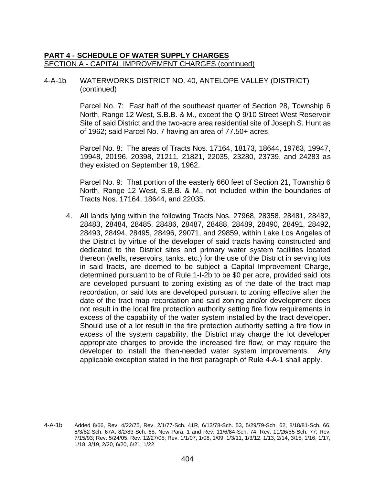## 4-A-1b WATERWORKS DISTRICT NO. 40, ANTELOPE VALLEY (DISTRICT) (continued)

Parcel No. 7: East half of the southeast quarter of Section 28, Township 6 North, Range 12 West, S.B.B. & M., except the Q 9/10 Street West Reservoir Site of said District and the two-acre area residential site of Joseph S. Hunt as of 1962; said Parcel No. 7 having an area of 77.50+ acres.

Parcel No. 8: The areas of Tracts Nos. 17164, 18173, 18644, 19763, 19947, 19948, 20196, 20398, 21211, 21821, 22035, 23280, 23739, and 24283 as they existed on September 19, 1962.

Parcel No. 9: That portion of the easterly 660 feet of Section 21, Township 6 North, Range 12 West, S.B.B. & M., not included within the boundaries of Tracts Nos. 17164, 18644, and 22035.

4. All lands lying within the following Tracts Nos. 27968, 28358, 28481, 28482, 28483, 28484, 28485, 28486, 28487, 28488, 28489, 28490, 28491, 28492, 28493, 28494, 28495, 28496, 29071, and 29859, within Lake Los Angeles of the District by virtue of the developer of said tracts having constructed and dedicated to the District sites and primary water system facilities located thereon (wells, reservoirs, tanks. etc.) for the use of the District in serving lots in said tracts, are deemed to be subject a Capital Improvement Charge, determined pursuant to be of Rule 1-I-2b to be \$0 per acre, provided said lots are developed pursuant to zoning existing as of the date of the tract map recordation, or said lots are developed pursuant to zoning effective after the date of the tract map recordation and said zoning and/or development does not result in the local fire protection authority setting fire flow requirements in excess of the capability of the water system installed by the tract developer. Should use of a lot result in the fire protection authority setting a fire flow in excess of the system capability, the District may charge the lot developer appropriate charges to provide the increased fire flow, or may require the developer to install the then-needed water system improvements. Any applicable exception stated in the first paragraph of Rule 4-A-1 shall apply.

<sup>4-</sup>A-1b Added 8/66, Rev. 4/22/75, Rev. 2/1/77-Sch. 41R, 6/13/78-Sch. 53, 5/29/79-Sch. 62, 8/18/81-Sch. 66, 8/3/82-Sch. 67A, 8/2/83-Sch. 68, New Para. 1 and Rev. 11/6/84-Sch. 74; Rev. 11/26/85-Sch. 77; Rev. 7/15/93; Rev. 5/24/05; Rev. 12/27/05; Rev. 1/1/07, 1/08, 1/09, 1/3/11, 1/3/12, 1/13, 2/14, 3/15, 1/16, 1/17, 1/18, 3/19, 2/20, 6/20, 6/21, 1/22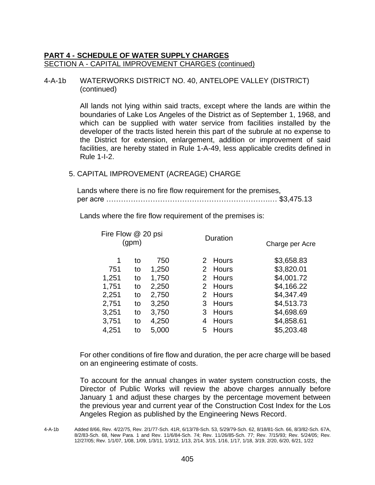## 4-A-1b WATERWORKS DISTRICT NO. 40, ANTELOPE VALLEY (DISTRICT) (continued)

All lands not lying within said tracts, except where the lands are within the boundaries of Lake Los Angeles of the District as of September 1, 1968, and which can be supplied with water service from facilities installed by the developer of the tracts listed herein this part of the subrule at no expense to the District for extension, enlargement, addition or improvement of said facilities, are hereby stated in Rule 1-A-49, less applicable credits defined in Rule 1-I-2.

#### 5. CAPITAL IMPROVEMENT (ACREAGE) CHARGE

Lands where there is no fire flow requirement for the premises, per acre ………………………………………………………….… \$3,475.13

Lands where the fire flow requirement of the premises is:

| Fire Flow @ 20 psi<br>(gpm) |       |    |       | Charge per Acre                                                                       |
|-----------------------------|-------|----|-------|---------------------------------------------------------------------------------------|
| to                          | 750   |    |       | \$3,658.83                                                                            |
| to                          | 1,250 |    |       | \$3,820.01                                                                            |
| to                          | 1,750 |    |       | \$4,001.72                                                                            |
| to                          | 2,250 |    |       | \$4,166.22                                                                            |
| to                          | 2,750 |    |       | \$4,347.49                                                                            |
| to                          | 3,250 |    |       | \$4,513.73                                                                            |
| to                          | 3,750 |    |       | \$4,698.69                                                                            |
| to                          | 4,250 | 4  | Hours | \$4,858.61                                                                            |
| to                          | 5,000 | 5. | Hours | \$5,203.48                                                                            |
|                             |       |    |       | Duration<br>2 Hours<br>2 Hours<br>2 Hours<br>2 Hours<br>2 Hours<br>3 Hours<br>3 Hours |

For other conditions of fire flow and duration, the per acre charge will be based on an engineering estimate of costs.

<sup>4-</sup>A-1b Added 8/66, Rev. 4/22/75, Rev. 2/1/77-Sch. 41R, 6/13/78-Sch. 53, 5/29/79-Sch. 62, 8/18/81-Sch. 66, 8/3/82-Sch. 67A, 8/2/83-Sch. 68, New Para. 1 and Rev. 11/6/84-Sch. 74; Rev. 11/26/85-Sch. 77; Rev. 7/15/93; Rev. 5/24/05; Rev. 12/27/05; Rev. 1/1/07, 1/08, 1/09, 1/3/11, 1/3/12, 1/13, 2/14, 3/15, 1/16, 1/17, 1/18, 3/19, 2/20, 6/20, 6/21, 1/22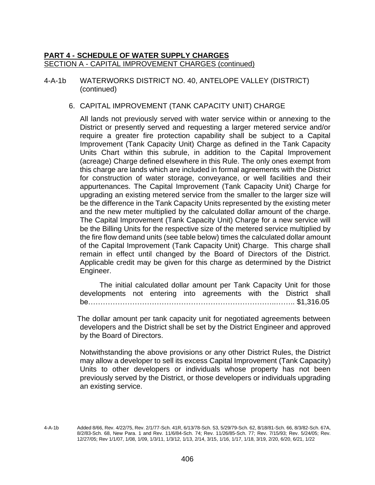4-A-1b WATERWORKS DISTRICT NO. 40, ANTELOPE VALLEY (DISTRICT) (continued)

#### 6. CAPITAL IMPROVEMENT (TANK CAPACITY UNIT) CHARGE

All lands not previously served with water service within or annexing to the District or presently served and requesting a larger metered service and/or require a greater fire protection capability shall be subject to a Capital Improvement (Tank Capacity Unit) Charge as defined in the Tank Capacity Units Chart within this subrule, in addition to the Capital Improvement (acreage) Charge defined elsewhere in this Rule. The only ones exempt from this charge are lands which are included in formal agreements with the District for construction of water storage, conveyance, or well facilities and their appurtenances. The Capital Improvement (Tank Capacity Unit) Charge for upgrading an existing metered service from the smaller to the larger size will be the difference in the Tank Capacity Units represented by the existing meter and the new meter multiplied by the calculated dollar amount of the charge. The Capital Improvement (Tank Capacity Unit) Charge for a new service will be the Billing Units for the respective size of the metered service multiplied by the fire flow demand units (see table below) times the calculated dollar amount of the Capital Improvement (Tank Capacity Unit) Charge. This charge shall remain in effect until changed by the Board of Directors of the District. Applicable credit may be given for this charge as determined by the District Engineer.

The initial calculated dollar amount per Tank Capacity Unit for those developments not entering into agreements with the District shall be…………………………………………………………………..…….. \$1,316.05

The dollar amount per tank capacity unit for negotiated agreements between developers and the District shall be set by the District Engineer and approved by the Board of Directors.

Notwithstanding the above provisions or any other District Rules, the District may allow a developer to sell its excess Capital Improvement (Tank Capacity) Units to other developers or individuals whose property has not been previously served by the District, or those developers or individuals upgrading an existing service.

4-A-1b Added 8/66, Rev. 4/22/75, Rev. 2/1/77-Sch. 41R, 6/13/78-Sch. 53, 5/29/79-Sch. 62, 8/18/81-Sch. 66, 8/3/82-Sch. 67A, 8/2/83-Sch. 68, New Para. 1 and Rev. 11/6/84-Sch. 74; Rev. 11/26/85-Sch. 77; Rev. 7/15/93; Rev. 5/24/05; Rev. 12/27/05; Rev 1/1/07, 1/08, 1/09, 1/3/11, 1/3/12, 1/13, 2/14, 3/15, 1/16, 1/17, 1/18, 3/19, 2/20, 6/20, 6/21, 1/22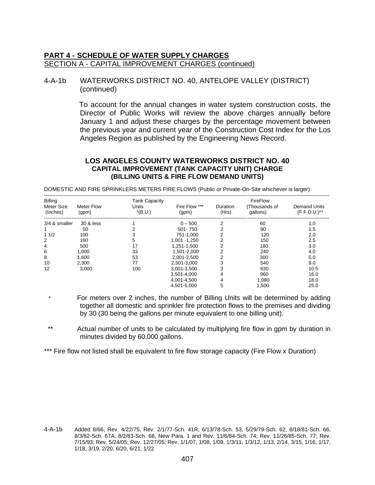#### 4-A-1b WATERWORKS DISTRICT NO. 40, ANTELOPE VALLEY (DISTRICT) (continued)

To account for the annual changes in water system construction costs, the Director of Public Works will review the above charges annually before January 1 and adjust these charges by the percentage movement between the previous year and current year of the Construction Cost Index for the Los Angeles Region as published by the Engineering News Record.

#### **LOS ANGELES COUNTY WATERWORKS DISTRICT NO. 40 CAPITAL IMPROVEMENT (TANK CAPACITY UNIT) CHARGE (BILLING UNITS & FIRE FLOW DEMAND UNITS)**

DOMESTIC AND FIRE SPRINKLERS METERS FIRE FLOWS (Public or Private-On-Site whichever is larger)

| Billing                |                            | <b>Tank Capacity</b> |                        |                   | FireFlow                  |                                   |
|------------------------|----------------------------|----------------------|------------------------|-------------------|---------------------------|-----------------------------------|
| Meter Size<br>(Inches) | <b>Meter Flow</b><br>(gpm) | Units<br>$*(B.U.)$   | Fire Flow ***<br>(qpm) | Duration<br>(Hrs) | (Thousands of<br>qallons) | Demand Units<br>$(F.F.D.U.)^{**}$ |
| 3/4 & smaller          | 30 & less                  |                      | $0 - 500$              | 2                 | 60                        | 1.0                               |
|                        | 50                         |                      | 501-750                |                   | 90                        | 1.5                               |
| 11/2                   | 100                        |                      | 751-1,000              |                   | 120                       | 2.0                               |
| 2                      | 160                        |                      | 1,001 - 1,250          |                   | 150                       | 2.5                               |
| 4                      | 500                        | 17                   | 1,251-1,500            |                   | 180                       | 3.0                               |
| 6                      | 1.000                      | 33                   | 1.501-2.000            |                   | 240                       | 4.0                               |
| 8                      | 1.600                      | 53                   | 2,001-2,500            |                   | 300                       | 5.0                               |
| 10                     | 2.300                      | 77                   | 2.501-3.000            | 3                 | 540                       | 9.0                               |
| 12                     | 3,000                      | 100                  | 3,001-3,500            |                   | 630                       | 10.5                              |
|                        |                            |                      | 3.501-4.000            | 4                 | 960                       | 16.0                              |
|                        |                            |                      | 4,001-4,500            | 4                 | 1,080                     | 18.0                              |
|                        |                            |                      | 4.501-5.000            | 5                 | 1,500                     | 25.0                              |

For meters over 2 inches, the number of Billing Units will be determined by adding together all domestic and sprinkler fire protection flows to the premises and dividing by 30 (30 being the gallons per minute equivalent to one billing unit).

 \*\* Actual number of units to be calculated by multiplying fire flow in gpm by duration in minutes divided by 60,000 gallons.

\*\*\* Fire flow not listed shall be equivalent to fire flow storage capacity (Fire Flow x Duration)

<sup>4-</sup>A-1b Added 8/66, Rev. 4/22/75, Rev. 2/1/77-Sch. 41R, 6/13/78-Sch. 53, 5/29/79-Sch. 62, 8/18/81-Sch. 66, 8/3/82-Sch. 67A, 8/2/83-Sch. 68, New Para. 1 and Rev. 11/6/84-Sch. 74; Rev. 11/26/85-Sch. 77; Rev. 7/15/93; Rev. 5/24/05; Rev. 12/27/05; Rev. 1/1/07, 1/08, 1/09, 1/3/11, 1/3/12, 1/13, 2/14, 3/15, 1/16, 1/17, 1/18, 3/19, 2/20, 6/20, 6/21, 1/22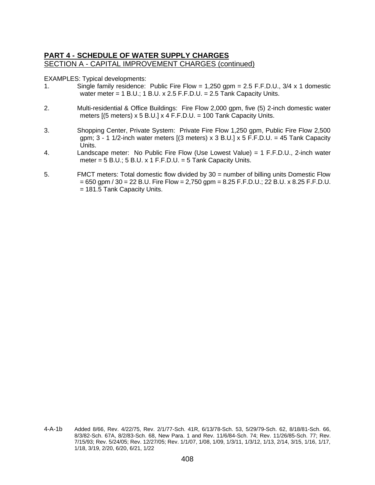EXAMPLES: Typical developments:

- 1. Single family residence: Public Fire Flow = 1,250 gpm = 2.5 F.F.D.U., 3/4 x 1 domestic water meter = 1 B.U.; 1 B.U. x 2.5 F.F.D.U. =  $2.5$  Tank Capacity Units.
- 2. Multi-residential & Office Buildings: Fire Flow 2,000 gpm, five (5) 2-inch domestic water meters  $[(5$  meters) x 5 B.U.] x 4 F.F.D.U. = 100 Tank Capacity Units.
- 3. Shopping Center, Private System: Private Fire Flow 1,250 gpm, Public Fire Flow 2,500 gpm;  $3 - 1$  1/2-inch water meters [(3 meters) x  $3$  B.U.] x  $5$  F.F.D.U. = 45 Tank Capacity Units.
- 4. Landscape meter: No Public Fire Flow (Use Lowest Value) = 1 F.F.D.U., 2-inch water meter =  $5$  B.U.;  $5$  B.U. x 1 F.F.D.U. =  $5$  Tank Capacity Units.
- 5. FMCT meters: Total domestic flow divided by 30 = number of billing units Domestic Flow  $= 650$  gpm / 30 = 22 B.U. Fire Flow = 2,750 gpm = 8.25 F.F.D.U.; 22 B.U. x 8.25 F.F.D.U. = 181.5 Tank Capacity Units.

<sup>4-</sup>A-1b Added 8/66, Rev. 4/22/75, Rev. 2/1/77-Sch. 41R, 6/13/78-Sch. 53, 5/29/79-Sch. 62, 8/18/81-Sch. 66, 8/3/82-Sch. 67A, 8/2/83-Sch. 68, New Para. 1 and Rev. 11/6/84-Sch. 74; Rev. 11/26/85-Sch. 77; Rev. 7/15/93; Rev. 5/24/05; Rev. 12/27/05; Rev. 1/1/07, 1/08, 1/09, 1/3/11, 1/3/12, 1/13, 2/14, 3/15, 1/16, 1/17, 1/18, 3/19, 2/20, 6/20, 6/21, 1/22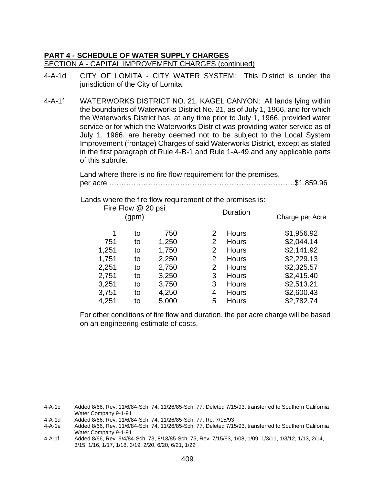- 4-A-1d CITY OF LOMITA CITY WATER SYSTEM: This District is under the jurisdiction of the City of Lomita.
- 4-A-1f WATERWORKS DISTRICT NO. 21, KAGEL CANYON: All lands lying within the boundaries of Waterworks District No. 21, as of July 1, 1966, and for which the Waterworks District has, at any time prior to July 1, 1966, provided water service or for which the Waterworks District was providing water service as of July 1, 1966, are hereby deemed not to be subject to the Local System Improvement (frontage) Charges of said Waterworks District, except as stated in the first paragraph of Rule 4-B-1 and Rule 1-A-49 and any applicable parts of this subrule.

Land where there is no fire flow requirement for the premises, per acre ………………………………………………………………….\$1,859.96

Lands where the fire flow requirement of the premises is:

|       | Fire Flow @ 20 psi<br>(gpm) |       |                           | Duration     | Charge per Acre |
|-------|-----------------------------|-------|---------------------------|--------------|-----------------|
| 1     | to                          | 750   | 2                         | <b>Hours</b> | \$1,956.92      |
| 751   | to                          | 1,250 | 2                         | <b>Hours</b> | \$2,044.14      |
| 1,251 | to                          | 1,750 | 2                         | <b>Hours</b> | \$2,141.92      |
| 1,751 | to                          | 2,250 | $\mathbf{2}^{\mathsf{I}}$ | <b>Hours</b> | \$2,229.13      |
| 2,251 | to                          | 2,750 | 2                         | <b>Hours</b> | \$2,325.57      |
| 2,751 | to                          | 3,250 | 3                         | <b>Hours</b> | \$2,415.40      |
| 3,251 | to                          | 3,750 | 3                         | <b>Hours</b> | \$2,513.21      |
| 3,751 | to                          | 4,250 | 4                         | <b>Hours</b> | \$2,600.43      |
| 4,251 | to                          | 5,000 | 5                         | <b>Hours</b> | \$2,782.74      |

For other conditions of fire flow and duration, the per acre charge will be based on an engineering estimate of costs.

4-A-1c Added 8/66, Rev. 11/6/84-Sch. 74, 11/26/85-Sch. 77, Deleted 7/15/93, transferred to Southern California Water Company 9-1-91

- 4-A-1d Added 8/66, Rev. 11/6/84-Sch. 74, 11/26/85-Sch. 77, Re. 7/15/93
- Added 8/66, Rev. 11/6/84-Sch. 74, 11/26/85-Sch. 77, Deleted 7/15/93, transferred to Southern California Water Company 9-1-91
- 4-A-1f Added 8/66, Rev. 9/4/84-Sch. 73, 8/13/85-Sch. 75, Rev. 7/15/93, 1/08, 1/09, 1/3/11, 1/3/12, 1/13, 2/14, 3/15, 1/16, 1/17, 1/18, 3/19, 2/20, 6/20, 6/21, 1/22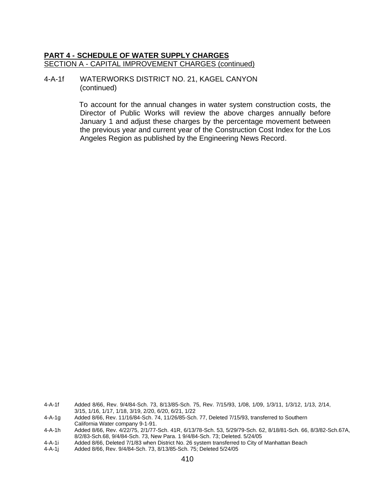#### 4-A-1f WATERWORKS DISTRICT NO. 21, KAGEL CANYON (continued)

To account for the annual changes in water system construction costs, the Director of Public Works will review the above charges annually before January 1 and adjust these charges by the percentage movement between the previous year and current year of the Construction Cost Index for the Los Angeles Region as published by the Engineering News Record.

4-A-1f Added 8/66, Rev. 9/4/84-Sch. 73, 8/13/85-Sch. 75, Rev. 7/15/93, 1/08, 1/09, 1/3/11, 1/3/12, 1/13, 2/14, 3/15, 1/16, 1/17, 1/18, 3/19, 2/20, 6/20, 6/21, 1/22

<sup>4-</sup>A-1g Added 8/66, Rev. 11/16/84-Sch. 74, 11/26/85-Sch. 77, Deleted 7/15/93, transferred to Southern California Water company 9-1-91.

<sup>4-</sup>A-1h Added 8/66, Rev. 4/22/75, 2/1/77-Sch. 41R, 6/13/78-Sch. 53, 5/29/79-Sch. 62, 8/18/81-Sch. 66, 8/3/82-Sch.67A, 8/2/83-Sch.68, 9/4/84-Sch. 73, New Para. 1 9/4/84-Sch. 73; Deleted. 5/24/05

<sup>4-</sup>A-1i Added 8/66, Deleted 7/1/83 when District No. 26 system transferred to City of Manhattan Beach

<sup>4-</sup>A-1j Added 8/66, Rev. 9/4/84-Sch. 73, 8/13/85-Sch. 75; Deleted 5/24/05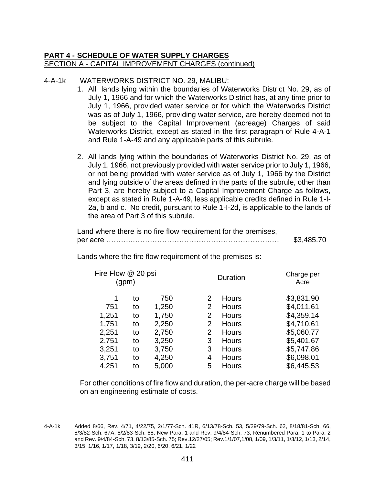# 4-A-1k WATERWORKS DISTRICT NO. 29, MALIBU:

- 1. All lands lying within the boundaries of Waterworks District No. 29, as of July 1, 1966 and for which the Waterworks District has, at any time prior to July 1, 1966, provided water service or for which the Waterworks District was as of July 1, 1966, providing water service, are hereby deemed not to be subject to the Capital Improvement (acreage) Charges of said Waterworks District, except as stated in the first paragraph of Rule 4-A-1 and Rule 1-A-49 and any applicable parts of this subrule.
- 2. All lands lying within the boundaries of Waterworks District No. 29, as of July 1, 1966, not previously provided with water service prior to July 1, 1966, or not being provided with water service as of July 1, 1966 by the District and lying outside of the areas defined in the parts of the subrule, other than Part 3, are hereby subject to a Capital Improvement Charge as follows, except as stated in Rule 1-A-49, less applicable credits defined in Rule 1-I-2a, b and c. No credit, pursuant to Rule 1-I-2d, is applicable to the lands of the area of Part 3 of this subrule.

| Land where there is no fire flow requirement for the premises, |            |
|----------------------------------------------------------------|------------|
|                                                                | \$3,485.70 |

Lands where the fire flow requirement of the premises is:

| Fire Flow @ 20 psi<br>(gpm) |    |       |   | Duration     | Charge per<br>Acre |
|-----------------------------|----|-------|---|--------------|--------------------|
| 1                           | to | 750   | 2 | <b>Hours</b> | \$3,831.90         |
| 751                         | to | 1,250 | 2 | Hours        | \$4,011.61         |
| 1,251                       | to | 1,750 | 2 | Hours        | \$4,359.14         |
| 1,751                       | to | 2,250 | 2 | Hours        | \$4,710.61         |
| 2,251                       | to | 2,750 | 2 | <b>Hours</b> | \$5,060.77         |
| 2,751                       | to | 3,250 | 3 | <b>Hours</b> | \$5,401.67         |
| 3,251                       | to | 3,750 | 3 | <b>Hours</b> | \$5,747.86         |
| 3,751                       | to | 4,250 | 4 | <b>Hours</b> | \$6,098.01         |
| 4,251                       | to | 5,000 | 5 | <b>Hours</b> | \$6,445.53         |

For other conditions of fire flow and duration, the per-acre charge will be based on an engineering estimate of costs.

<sup>4-</sup>A-1k Added 8/66, Rev. 4/71, 4/22/75, 2/1/77-Sch. 41R, 6/13/78-Sch. 53, 5/29/79-Sch. 62, 8/18/81-Sch. 66, 8/3/82-Sch. 67A, 8/2/83-Sch. 68, New Para. 1 and Rev. 9/4/84-Sch. 73, Renumbered Para. 1 to Para. 2 and Rev. 9/4/84-Sch. 73, 8/13/85-Sch. 75; Rev.12/27/05; Rev.1/1/07,1/08, 1/09, 1/3/11, 1/3/12, 1/13, 2/14, 3/15, 1/16, 1/17, 1/18, 3/19, 2/20, 6/20, 6/21, 1/22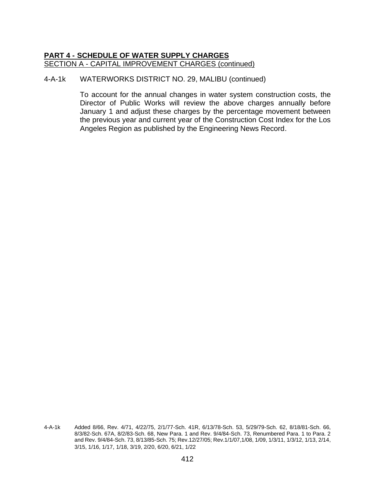#### 4-A-1k WATERWORKS DISTRICT NO. 29, MALIBU (continued)

<sup>4-</sup>A-1k Added 8/66, Rev. 4/71, 4/22/75, 2/1/77-Sch. 41R, 6/13/78-Sch. 53, 5/29/79-Sch. 62, 8/18/81-Sch. 66, 8/3/82-Sch. 67A, 8/2/83-Sch. 68, New Para. 1 and Rev. 9/4/84-Sch. 73, Renumbered Para. 1 to Para. 2 and Rev. 9/4/84-Sch. 73, 8/13/85-Sch. 75; Rev.12/27/05; Rev.1/1/07,1/08, 1/09, 1/3/11, 1/3/12, 1/13, 2/14, 3/15, 1/16, 1/17, 1/18, 3/19, 2/20, 6/20, 6/21, 1/22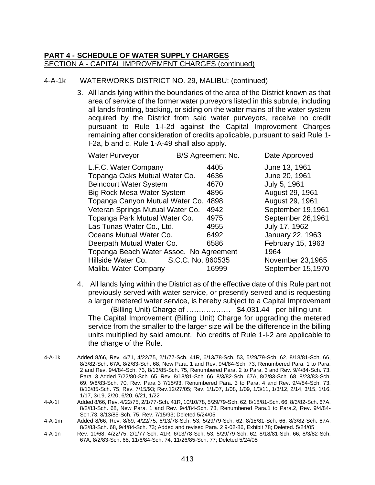## 4-A-1k WATERWORKS DISTRICT NO. 29, MALIBU: (continued)

3. All lands lying within the boundaries of the area of the District known as that area of service of the former water purveyors listed in this subrule, including all lands fronting, backing, or siding on the water mains of the water system acquired by the District from said water purveyors, receive no credit pursuant to Rule 1-I-2d against the Capital Improvement Charges remaining after consideration of credits applicable, pursuant to said Rule 1- I-2a, b and c. Rule 1-A-49 shall also apply.

| <b>Water Purveyor</b>                   |                   | B/S Agreement No. | Date Approved     |
|-----------------------------------------|-------------------|-------------------|-------------------|
| L.F.C. Water Company                    |                   | 4405              | June 13, 1961     |
| Topanga Oaks Mutual Water Co.           |                   | 4636              | June 20, 1961     |
| <b>Beincourt Water System</b>           |                   | 4670              | July 5, 1961      |
| <b>Big Rock Mesa Water System</b>       |                   | 4896              | August 29, 1961   |
| Topanga Canyon Mutual Water Co. 4898    |                   |                   | August 29, 1961   |
| Veteran Springs Mutual Water Co.        |                   | 4942              | September 19,1961 |
| Topanga Park Mutual Water Co.           |                   | 4975              | September 26,1961 |
| Las Tunas Water Co., Ltd.               |                   | 4955              | July 17, 1962     |
| Oceans Mutual Water Co.                 |                   | 6492              | January 22, 1963  |
| Deerpath Mutual Water Co.               |                   | 6586              | February 15, 1963 |
| Topanga Beach Water Assoc. No Agreement |                   |                   | 1964              |
| Hillside Water Co.                      | S.C.C. No. 860535 |                   | November 23,1965  |
| <b>Malibu Water Company</b>             |                   | 16999             | September 15,1970 |
|                                         |                   |                   |                   |

4. All lands lying within the District as of the effective date of this Rule part not previously served with water service, or presently served and is requesting a larger metered water service, is hereby subject to a Capital Improvement (Billing Unit) Charge of ……………… \$4,031.44 per billing unit. The Capital Improvement (Billing Unit) Charge for upgrading the metered service from the smaller to the larger size will be the difference in the billing units multiplied by said amount. No credits of Rule 1-I-2 are applicable to

the charge of the Rule.

- 4-A-1l Added 8/66, Rev. 4/22/75, 2/1/77-Sch. 41R, 10/10/78, 5/29/79-Sch. 62, 8/18/81-Sch. 66, 8/3/82-Sch. 67A, 8/2/83-Sch. 68, New Para. 1 and Rev. 9/4/84-Sch. 73, Renumbered Para.1 to Para.2, Rev. 9/4/84- Sch.73, 8/13/85-Sch. 75, Rev. 7/15/93; Deleted 5/24/05
- 4-A-1m Added 8/66, Rev. 8/69, 4/22/75, 6/13/78-Sch. 53, 5/29/79-Sch. 62, 8/18/81-Sch. 66, 8/3/82-Sch. 67A, 8/2/83-Sch. 68, 9/4/84-Sch. 73; Added and revised Para. 2 9-02-86, Exhibit 78; Deleted. 5/24/05
- 4-A-1n Rev. 10/68, 4/22/75, 2/1/77-Sch. 41R, 6/13/78-Sch. 53, 5/29/79-Sch. 62, 8/18/81-Sch. 66, 8/3/82-Sch. 67A, 8/2/83-Sch. 68, 11/6/84-Sch. 74, 11/26/85-Sch. 77; Deleted 5/24/05

<sup>4-</sup>A-1k Added 8/66, Rev. 4/71, 4/22/75, 2/1/77-Sch. 41R, 6/13/78-Sch. 53, 5/29/79-Sch. 62, 8/18/81-Sch. 66, 8/3/82-Sch. 67A, 8/2/83-Sch. 68, New Para. 1 and Rev. 9/4/84-Sch. 73, Renumbered Para. 1 to Para. 2 and Rev. 9/4/84-Sch. 73, 8/13/85-Sch. 75, Renumbered Para. 2 to Para. 3 and Rev. 9/4/84-Sch. 73, Para. 3 Added 7/22/80-Sch. 65, Rev. 8/18/81-Sch. 66, 8/3/82-Sch. 67A, 8/2/83-Sch. 68. 8/23/83-Sch. 69, 9/6/83-Sch. 70, Rev. Para 3 7/15/93, Renumbered Para. 3 to Para. 4 and Rev. 9/4/84-Sch. 73, 8/13/85-Sch. 75, Rev. 7/15/93; Rev.12/27/05; Rev. 1/1/07, 1/08, 1/09, 1/3/11, 1/3/12, 2/14, 3/15, 1/16, 1/17, 3/19, 2/20, 6/20, 6/21, 1/22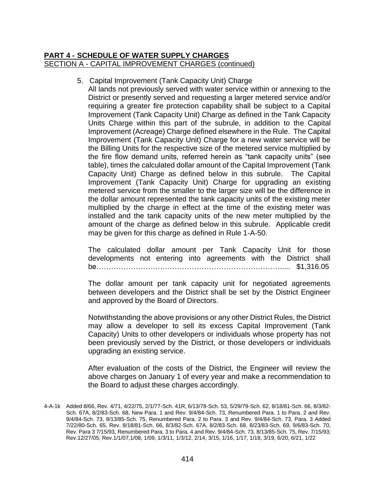## 5. Capital Improvement (Tank Capacity Unit) Charge

All lands not previously served with water service within or annexing to the District or presently served and requesting a larger metered service and/or requiring a greater fire protection capability shall be subject to a Capital Improvement (Tank Capacity Unit) Charge as defined in the Tank Capacity Units Charge within this part of the subrule, in addition to the Capital Improvement (Acreage) Charge defined elsewhere in the Rule. The Capital Improvement (Tank Capacity Unit) Charge for a new water service will be the Billing Units for the respective size of the metered service multiplied by the fire flow demand units, referred herein as "tank capacity units" (see table), times the calculated dollar amount of the Capital Improvement (Tank Capacity Unit) Charge as defined below in this subrule. The Capital Improvement (Tank Capacity Unit) Charge for upgrading an existing metered service from the smaller to the larger size will be the difference in the dollar amount represented the tank capacity units of the existing meter multiplied by the charge in effect at the time of the existing meter was installed and the tank capacity units of the new meter multiplied by the amount of the charge as defined below in this subrule. Applicable credit may be given for this charge as defined in Rule 1-A-50.

The calculated dollar amount per Tank Capacity Unit for those developments not entering into agreements with the District shall be…………………………………………………………………..... \$1,316.05

The dollar amount per tank capacity unit for negotiated agreements between developers and the District shall be set by the District Engineer and approved by the Board of Directors.

Notwithstanding the above provisions or any other District Rules, the District may allow a developer to sell its excess Capital Improvement (Tank Capacity) Units to other developers or individuals whose property has not been previously served by the District, or those developers or individuals upgrading an existing service.

After evaluation of the costs of the District, the Engineer will review the above charges on January 1 of every year and make a recommendation to the Board to adjust these charges accordingly.

<sup>4-</sup>A-1k Added 8/66, Rev. 4/71, 4/22/75, 2/1/77-Sch. 41R, 6/13/78-Sch. 53, 5/29/79-Sch. 62, 8/18/81-Sch. 66, 8/3/82- Sch. 67A, 8/2/83-Sch. 68, New Para. 1 and Rev. 9/4/84-Sch. 73, Renumbered Para. 1 to Para. 2 and Rev. 9/4/84-Sch. 73, 8/13/85-Sch. 75, Renumbered Para. 2 to Para. 3 and Rev. 9/4/84-Sch. 73, Para. 3 Added 7/22/80-Sch. 65, Rev. 8/18/81-Sch. 66, 8/3/82-Sch. 67A, 8/2/83-Sch. 68. 8/23/83-Sch. 69, 9/6/83-Sch. 70, Rev. Para 3 7/15/93, Renumbered Para. 3 to Para. 4 and Rev. 9/4/84-Sch. 73, 8/13/85-Sch. 75, Rev. 7/15/93; Rev.12/27/05; Rev.1/1/07,1/08, 1/09, 1/3/11, 1/3/12, 2/14, 3/15, 1/16, 1/17, 1/18, 3/19, 6/20, 6/21, 1/22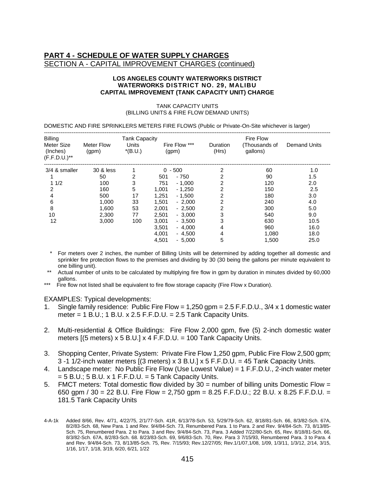#### **LOS ANGELES COUNTY WATERWORKS DISTRICT WATERWORKS DISTRICT NO. 29, MALIBU CAPITAL IMPROVEMENT (TANK CAPACITY UNIT) CHARGE**

| TANK CAPACITY UNITS                                                                            |
|------------------------------------------------------------------------------------------------|
| (BILLING UNITS & FIRE FLOW DEMAND UNITS)                                                       |
|                                                                                                |
| DOMESTIC AND FIRE SPRINKLERS METERS FIRE FLOWS (Public or Private-On-Site whichever is larger) |

| <b>Billing</b>                           |                            | <b>Tank Capacity</b>      |                        |                   | Fire Flow                 |                     |
|------------------------------------------|----------------------------|---------------------------|------------------------|-------------------|---------------------------|---------------------|
| Meter Size<br>(Inches)<br>$(F.F.D.U.)**$ | <b>Meter Flow</b><br>(qpm) | <b>Units</b><br>$*(B.U.)$ | Fire Flow ***<br>(gpm) | Duration<br>(Hrs) | (Thousands of<br>gallons) | <b>Demand Units</b> |
| 3/4 & smaller                            | 30 & less                  |                           | $-500$<br>0            | 2                 | 60                        | 1.0                 |
|                                          | 50                         | 2                         | $-750$<br>501          | 2                 | 90                        | 1.5                 |
| 11/2                                     | 100                        | 3                         | 751<br>$-1.000$        | 2                 | 120                       | 2.0                 |
| 2                                        | 160                        | 5                         | 1.001<br>$-1,250$      | 2                 | 150                       | 2.5                 |
| 4                                        | 500                        | 17                        | 1.251<br>$-1.500$      | 2                 | 180                       | 3.0                 |
| 6                                        | 1,000                      | 33                        | 1,501<br>$-2,000$      | 2                 | 240                       | 4.0                 |
| 8                                        | 1.600                      | 53                        | 2.001<br>$-2,500$      | 2                 | 300                       | 5.0                 |
| 10                                       | 2,300                      | 77                        | 2,501<br>$-3,000$      | 3                 | 540                       | 9.0                 |
| 12                                       | 3,000                      | 100                       | 3,001<br>$-3,500$      | 3                 | 630                       | 10.5                |
|                                          |                            |                           | $-4.000$<br>3.501      | 4                 | 960                       | 16.0                |
|                                          |                            |                           | 4,001<br>$-4.500$      | 4                 | 1,080                     | 18.0                |
|                                          |                            |                           | 4,501<br>$-5.000$      | 5                 | 1,500                     | 25.0                |

- For meters over 2 inches, the number of Billing Units will be determined by adding together all domestic and sprinkler fire protection flows to the premises and dividing by 30 (30 being the gallons per minute equivalent to one billing unit).
- Actual number of units to be calculated by multiplying fire flow in gpm by duration in minutes divided by 60,000 gallons.
- \*\*\* Fire flow not listed shall be equivalent to fire flow storage capacity (Fire Flow x Duration).

#### EXAMPLES: Typical developments:

- 1. Single family residence: Public Fire Flow = 1,250 gpm = 2.5 F.F.D.U., 3/4 x 1 domestic water meter = 1 B.U.; 1 B.U. x 2.5 F.F.D.U. = 2.5 Tank Capacity Units.
- 2. Multi-residential & Office Buildings: Fire Flow 2,000 gpm, five (5) 2-inch domestic water meters  $[(5$  meters) x 5 B.U.] x 4 F.F.D.U. = 100 Tank Capacity Units.
- 3. Shopping Center, Private System: Private Fire Flow 1,250 gpm, Public Fire Flow 2,500 gpm; 3 -1 1/2-inch water meters [(3 meters) x 3 B.U.] x 5 F.F.D.U. = 45 Tank Capacity Units.
- 4. Landscape meter: No Public Fire Flow (Use Lowest Value) = 1 F.F.D.U., 2-inch water meter  $= 5$  B.U.; 5 B.U. x 1 F.F.D.U.  $= 5$  Tank Capacity Units.
- 5. FMCT meters: Total domestic flow divided by  $30 =$  number of billing units Domestic Flow  $=$ 650 gpm / 30 = 22 B.U. Fire Flow = 2,750 gpm = 8.25 F.F.D.U.; 22 B.U. x 8.25 F.F.D.U. = 181.5 Tank Capacity Units

<sup>4-</sup>A-1k Added 8/66, Rev. 4/71, 4/22/75, 2/1/77-Sch. 41R, 6/13/78-Sch. 53, 5/29/79-Sch. 62, 8/18/81-Sch. 66, 8/3/82-Sch. 67A, 8/2/83-Sch. 68, New Para. 1 and Rev. 9/4/84-Sch. 73, Renumbered Para. 1 to Para. 2 and Rev. 9/4/84-Sch. 73, 8/13/85- Sch. 75, Renumbered Para. 2 to Para. 3 and Rev. 9/4/84-Sch. 73, Para. 3 Added 7/22/80-Sch. 65, Rev. 8/18/81-Sch. 66, 8/3/82-Sch. 67A, 8/2/83-Sch. 68. 8/23/83-Sch. 69, 9/6/83-Sch. 70, Rev. Para 3 7/15/93, Renumbered Para. 3 to Para. 4 and Rev. 9/4/84-Sch. 73, 8/13/85-Sch. 75, Rev. 7/15/93; Rev.12/27/05; Rev.1/1/07,1/08, 1/09, 1/3/11, 1/3/12, 2/14, 3/15, 1/16, 1/17, 1/18, 3/19, 6/20, 6/21, 1/22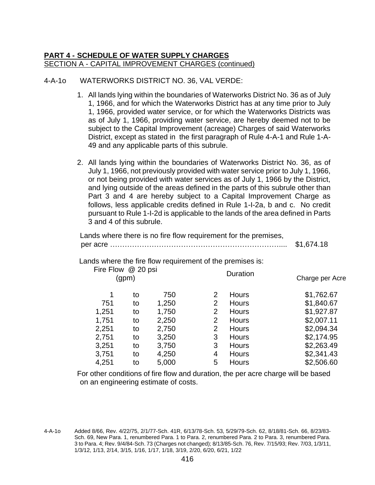## 4-A-1o WATERWORKS DISTRICT NO. 36, VAL VERDE:

- 1. All lands lying within the boundaries of Waterworks District No. 36 as of July 1, 1966, and for which the Waterworks District has at any time prior to July 1, 1966, provided water service, or for which the Waterworks Districts was as of July 1, 1966, providing water service, are hereby deemed not to be subject to the Capital Improvement (acreage) Charges of said Waterworks District, except as stated in the first paragraph of Rule 4-A-1 and Rule 1-A-49 and any applicable parts of this subrule.
- 2. All lands lying within the boundaries of Waterworks District No. 36, as of July 1, 1966, not previously provided with water service prior to July 1, 1966, or not being provided with water services as of July 1, 1966 by the District, and lying outside of the areas defined in the parts of this subrule other than Part 3 and 4 are hereby subject to a Capital Improvement Charge as follows, less applicable credits defined in Rule 1-I-2a, b and c. No credit pursuant to Rule 1-I-2d is applicable to the lands of the area defined in Parts 3 and 4 of this subrule.

| Lands where there is no fire flow requirement for the premises, |          | \$1,674.18      |
|-----------------------------------------------------------------|----------|-----------------|
| Lands where the fire flow requirement of the premises is:       |          |                 |
| Fire Flow @ 20 psi<br>(gpm)                                     | Duration | Charge per Acre |

|       | יים - וכ |       |   |              |            |
|-------|----------|-------|---|--------------|------------|
| 1     | to       | 750   |   | <b>Hours</b> | \$1,762.67 |
| 751   | to       | 1,250 | 2 | <b>Hours</b> | \$1,840.67 |
| 1,251 | to       | 1,750 | 2 | <b>Hours</b> | \$1,927.87 |
| 1,751 | to       | 2,250 | 2 | <b>Hours</b> | \$2,007.11 |
| 2,251 | to       | 2,750 | 2 | Hours        | \$2,094.34 |
| 2,751 | to       | 3,250 | 3 | <b>Hours</b> | \$2,174.95 |
| 3,251 | to       | 3,750 | 3 | Hours        | \$2,263.49 |
| 3,751 | to       | 4,250 | 4 | Hours        | \$2,341.43 |
| 4,251 | to       | 5,000 | 5 | <b>Hours</b> | \$2,506.60 |
|       |          |       |   |              |            |

For other conditions of fire flow and duration, the per acre charge will be based on an engineering estimate of costs.

<sup>4-</sup>A-1o Added 8/66, Rev. 4/22/75, 2/1/77-Sch. 41R, 6/13/78-Sch. 53, 5/29/79-Sch. 62, 8/18/81-Sch. 66, 8/23/83- Sch. 69, New Para. 1, renumbered Para. 1 to Para. 2, renumbered Para. 2 to Para. 3, renumbered Para. 3 to Para. 4; Rev. 9/4/84-Sch. 73 (Charges not changed); 8/13/85-Sch. 76, Rev. 7/15/93; Rev. 7/03, 1/3/11, 1/3/12, 1/13, 2/14, 3/15, 1/16, 1/17, 1/18, 3/19, 2/20, 6/20, 6/21, 1/22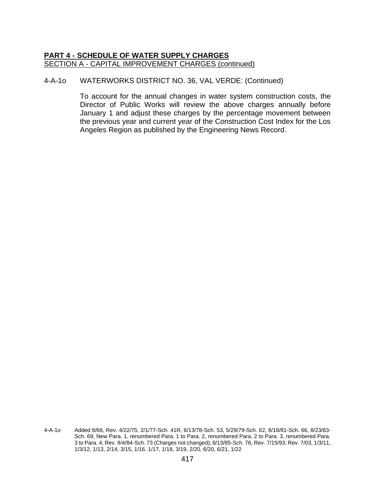## 4-A-1o WATERWORKS DISTRICT NO. 36, VAL VERDE: (Continued)

<sup>4-</sup>A-1o Added 8/66, Rev. 4/22/75, 2/1/77-Sch. 41R, 6/13/78-Sch. 53, 5/29/79-Sch. 62, 8/18/81-Sch. 66, 8/23/83- Sch. 69, New Para. 1, renumbered Para. 1 to Para. 2, renumbered Para. 2 to Para. 3, renumbered Para. 3 to Para. 4; Rev. 9/4/84-Sch. 73 (Charges not changed); 8/13/85-Sch. 76, Rev. 7/15/93; Rev. 7/03, 1/3/11, 1/3/12, 1/13, 2/14, 3/15, 1/16, 1/17, 1/18, 3/19, 2/20, 6/20, 6/21, 1/22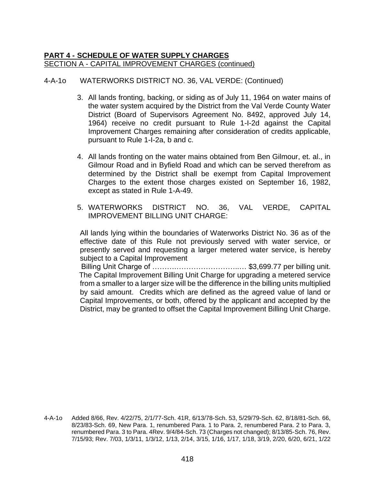# 4-A-1o WATERWORKS DISTRICT NO. 36, VAL VERDE: (Continued)

- 3. All lands fronting, backing, or siding as of July 11, 1964 on water mains of the water system acquired by the District from the Val Verde County Water District (Board of Supervisors Agreement No. 8492, approved July 14, 1964) receive no credit pursuant to Rule 1-I-2d against the Capital Improvement Charges remaining after consideration of credits applicable, pursuant to Rule 1-I-2a, b and c.
- 4. All lands fronting on the water mains obtained from Ben Gilmour, et. al., in Gilmour Road and in Byfield Road and which can be served therefrom as determined by the District shall be exempt from Capital Improvement Charges to the extent those charges existed on September 16, 1982, except as stated in Rule 1-A-49.
- 5. WATERWORKS DISTRICT NO. 36, VAL VERDE, CAPITAL IMPROVEMENT BILLING UNIT CHARGE:

All lands lying within the boundaries of Waterworks District No. 36 as of the effective date of this Rule not previously served with water service, or presently served and requesting a larger metered water service, is hereby subject to a Capital Improvement

 Billing Unit Charge of ……….……………………..… \$3,699.77 per billing unit. The Capital Improvement Billing Unit Charge for upgrading a metered service from a smaller to a larger size will be the difference in the billing units multiplied by said amount. Credits which are defined as the agreed value of land or Capital Improvements, or both, offered by the applicant and accepted by the District, may be granted to offset the Capital Improvement Billing Unit Charge.

<sup>4-</sup>A-1o Added 8/66, Rev. 4/22/75, 2/1/77-Sch. 41R, 6/13/78-Sch. 53, 5/29/79-Sch. 62, 8/18/81-Sch. 66, 8/23/83-Sch. 69, New Para. 1, renumbered Para. 1 to Para. 2, renumbered Para. 2 to Para. 3, renumbered Para. 3 to Para. 4Rev. 9/4/84-Sch. 73 (Charges not changed); 8/13/85-Sch. 76, Rev. 7/15/93; Rev. 7/03, 1/3/11, 1/3/12, 1/13, 2/14, 3/15, 1/16, 1/17, 1/18, 3/19, 2/20, 6/20, 6/21, 1/22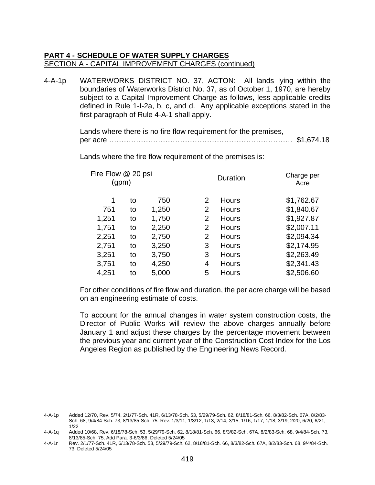4-A-1p WATERWORKS DISTRICT NO. 37, ACTON: All lands lying within the boundaries of Waterworks District No. 37, as of October 1, 1970, are hereby subject to a Capital Improvement Charge as follows, less applicable credits defined in Rule 1-I-2a, b, c, and d. Any applicable exceptions stated in the first paragraph of Rule 4-A-1 shall apply.

> Lands where there is no fire flow requirement for the premises, per acre ………………………………………………………………… \$1,674.18

Fire Flow @ 20 psi (gpm) Duration Charge per Acre 1 to 750 2 Hours \$1,762.67 751 to 1,250 2 Hours \$1,840.67 1,251 to 1,750 2 Hours \$1,927.87 1,751 to 2,250 2 Hours \$2,007.11 2,251 to 2,750 2 Hours \$2,094.34 2,751 to 3,250 3 Hours \$2,174.95 3,251 to 3,750 3 Hours \$2,263.49 3,751 to 4,250 4 Hours \$2,341.43 4,251 to 5,000 5 Hours \$2,506.60

Lands where the fire flow requirement of the premises is:

For other conditions of fire flow and duration, the per acre charge will be based on an engineering estimate of costs.

<sup>4-</sup>A-1p Added 12/70, Rev. 5/74, 2/1/77-Sch. 41R, 6/13/78-Sch. 53, 5/29/79-Sch. 62, 8/18/81-Sch. 66, 8/3/82-Sch. 67A, 8/2/83- Sch. 68, 9/4/84-Sch. 73, 8/13/85-Sch. 75. Rev. 1/3/11, 1/3/12, 1/13, 2/14, 3/15, 1/16, 1/17, 1/18, 3/19, 2/20, 6/20, 6/21, 1/22

<sup>4-</sup>A-1q Added 10/68, Rev. 6/18/78-Sch. 53, 5/29/79-Sch. 62, 8/18/81-Sch. 66, 8/3/82-Sch. 67A, 8/2/83-Sch. 68, 9/4/84-Sch. 73, 8/13/85-Sch. 75, Add Para. 3-6/3/86; Deleted 5/24/05

<sup>4-</sup>A-1r Rev. 2/1/77-Sch. 41R, 6/13/78-Sch. 53, 5/29/79-Sch. 62, 8/18/81-Sch. 66, 8/3/82-Sch. 67A, 8/2/83-Sch. 68, 9/4/84-Sch. 73; Deleted 5/24/05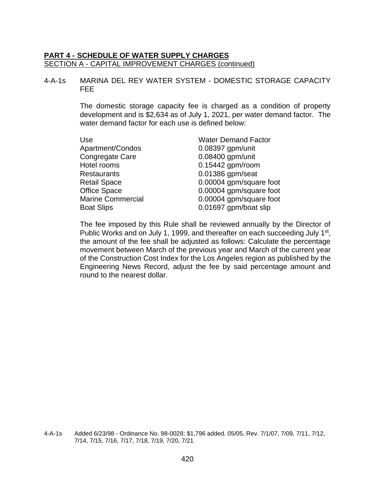#### 4-A-1s MARINA DEL REY WATER SYSTEM - DOMESTIC STORAGE CAPACITY FEE

The domestic storage capacity fee is charged as a condition of property development and is \$2,634 as of July 1, 2021, per water demand factor. The water demand factor for each use is defined below:

| <b>Water Demand Factor</b> |
|----------------------------|
| $0.08397$ gpm/unit         |
| 0.08400 gpm/unit           |
| 0.15442 gpm/room           |
| 0.01386 gpm/seat           |
| 0.00004 gpm/square foot    |
| 0.00004 gpm/square foot    |
| 0.00004 gpm/square foot    |
| 0.01697 gpm/boat slip      |
|                            |

The fee imposed by this Rule shall be reviewed annually by the Director of Public Works and on July 1, 1999, and thereafter on each succeeding July 1<sup>st</sup>, the amount of the fee shall be adjusted as follows: Calculate the percentage movement between March of the previous year and March of the current year of the Construction Cost Index for the Los Angeles region as published by the Engineering News Record, adjust the fee by said percentage amount and round to the nearest dollar.

4-A-1s Added 6/23/98 - Ordinance No. 98-0028; \$1,796 added. 05/05, Rev. 7/1/07, 7/09, 7/11, 7/12, 7/14, 7/15, 7/16, 7/17, 7/18, 7/19, 7/20, 7/21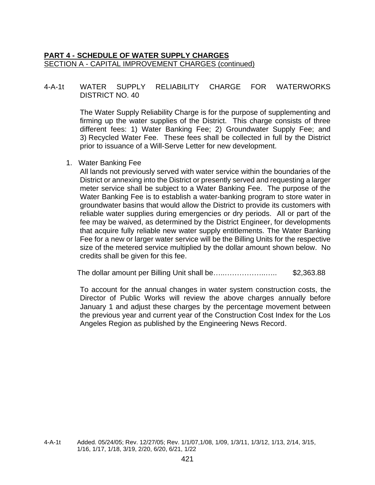## 4-A-1t WATER SUPPLY RELIABILITY CHARGE FOR WATERWORKS DISTRICT NO. 40

The Water Supply Reliability Charge is for the purpose of supplementing and firming up the water supplies of the District. This charge consists of three different fees: 1) Water Banking Fee; 2) Groundwater Supply Fee; and 3) Recycled Water Fee. These fees shall be collected in full by the District prior to issuance of a Will-Serve Letter for new development.

1. Water Banking Fee

All lands not previously served with water service within the boundaries of the District or annexing into the District or presently served and requesting a larger meter service shall be subject to a Water Banking Fee. The purpose of the Water Banking Fee is to establish a water-banking program to store water in groundwater basins that would allow the District to provide its customers with reliable water supplies during emergencies or dry periods. All or part of the fee may be waived, as determined by the District Engineer, for developments that acquire fully reliable new water supply entitlements. The Water Banking Fee for a new or larger water service will be the Billing Units for the respective size of the metered service multiplied by the dollar amount shown below. No credits shall be given for this fee.

The dollar amount per Billing Unit shall be…..……………..….. \$2,363.88

<sup>4-</sup>A-1t Added. 05/24/05; Rev. 12/27/05; Rev. 1/1/07,1/08, 1/09, 1/3/11, 1/3/12, 1/13, 2/14, 3/15, 1/16, 1/17, 1/18, 3/19, 2/20, 6/20, 6/21, 1/22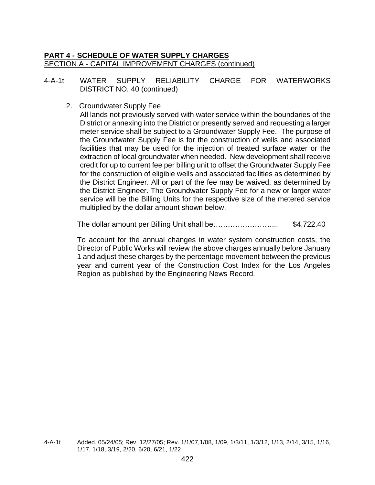## 4-A-1t WATER SUPPLY RELIABILITY CHARGE FOR WATERWORKS DISTRICT NO. 40 (continued)

#### 2. Groundwater Supply Fee

All lands not previously served with water service within the boundaries of the District or annexing into the District or presently served and requesting a larger meter service shall be subject to a Groundwater Supply Fee. The purpose of the Groundwater Supply Fee is for the construction of wells and associated facilities that may be used for the injection of treated surface water or the extraction of local groundwater when needed. New development shall receive credit for up to current fee per billing unit to offset the Groundwater Supply Fee for the construction of eligible wells and associated facilities as determined by the District Engineer. All or part of the fee may be waived, as determined by the District Engineer. The Groundwater Supply Fee for a new or larger water service will be the Billing Units for the respective size of the metered service multiplied by the dollar amount shown below.

The dollar amount per Billing Unit shall be……………………... \$4,722.40

<sup>4-</sup>A-1t Added. 05/24/05; Rev. 12/27/05; Rev. 1/1/07,1/08, 1/09, 1/3/11, 1/3/12, 1/13, 2/14, 3/15, 1/16, 1/17, 1/18, 3/19, 2/20, 6/20, 6/21, 1/22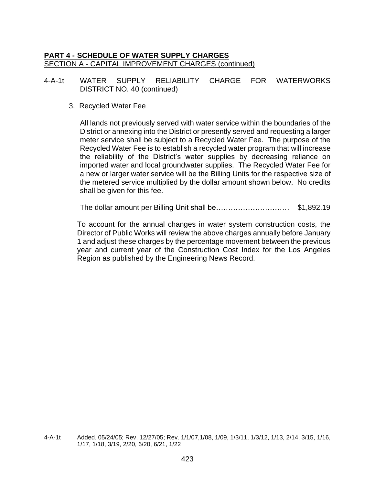4-A-1t WATER SUPPLY RELIABILITY CHARGE FOR WATERWORKS DISTRICT NO. 40 (continued)

#### 3. Recycled Water Fee

All lands not previously served with water service within the boundaries of the District or annexing into the District or presently served and requesting a larger meter service shall be subject to a Recycled Water Fee. The purpose of the Recycled Water Fee is to establish a recycled water program that will increase the reliability of the District's water supplies by decreasing reliance on imported water and local groundwater supplies. The Recycled Water Fee for a new or larger water service will be the Billing Units for the respective size of the metered service multiplied by the dollar amount shown below. No credits shall be given for this fee.

The dollar amount per Billing Unit shall be………………………… \$1,892.19

<sup>4-</sup>A-1t Added. 05/24/05; Rev. 12/27/05; Rev. 1/1/07,1/08, 1/09, 1/3/11, 1/3/12, 1/13, 2/14, 3/15, 1/16, 1/17, 1/18, 3/19, 2/20, 6/20, 6/21, 1/22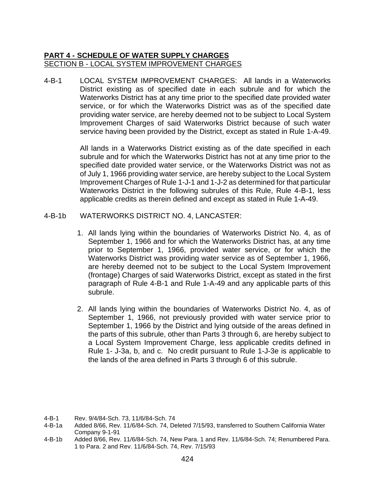4-B-1 LOCAL SYSTEM IMPROVEMENT CHARGES: All lands in a Waterworks District existing as of specified date in each subrule and for which the Waterworks District has at any time prior to the specified date provided water service, or for which the Waterworks District was as of the specified date providing water service, are hereby deemed not to be subject to Local System Improvement Charges of said Waterworks District because of such water service having been provided by the District, except as stated in Rule 1-A-49.

> All lands in a Waterworks District existing as of the date specified in each subrule and for which the Waterworks District has not at any time prior to the specified date provided water service, or the Waterworks District was not as of July 1, 1966 providing water service, are hereby subject to the Local System Improvement Charges of Rule 1-J-1 and 1-J-2 as determined for that particular Waterworks District in the following subrules of this Rule, Rule 4-B-1, less applicable credits as therein defined and except as stated in Rule 1-A-49.

#### 4-B-1b WATERWORKS DISTRICT NO. 4, LANCASTER:

- 1. All lands lying within the boundaries of Waterworks District No. 4, as of September 1, 1966 and for which the Waterworks District has, at any time prior to September 1, 1966, provided water service, or for which the Waterworks District was providing water service as of September 1, 1966, are hereby deemed not to be subject to the Local System Improvement (frontage) Charges of said Waterworks District, except as stated in the first paragraph of Rule 4-B-1 and Rule 1-A-49 and any applicable parts of this subrule.
- 2. All lands lying within the boundaries of Waterworks District No. 4, as of September 1, 1966, not previously provided with water service prior to September 1, 1966 by the District and lying outside of the areas defined in the parts of this subrule, other than Parts 3 through 6, are hereby subject to a Local System Improvement Charge, less applicable credits defined in Rule 1- J-3a, b, and c. No credit pursuant to Rule 1-J-3e is applicable to the lands of the area defined in Parts 3 through 6 of this subrule.

- 4-B-1a Added 8/66, Rev. 11/6/84-Sch. 74, Deleted 7/15/93, transferred to Southern California Water Company 9-1-91
- 4-B-1b Added 8/66, Rev. 11/6/84-Sch. 74, New Para. 1 and Rev. 11/6/84-Sch. 74; Renumbered Para. 1 to Para. 2 and Rev. 11/6/84-Sch. 74, Rev. 7/15/93

<sup>4-</sup>B-1 Rev. 9/4/84-Sch. 73, 11/6/84-Sch. 74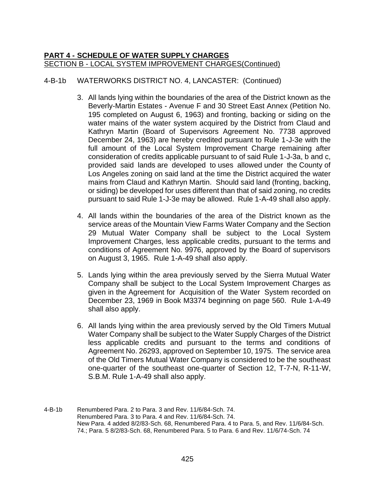# 4-B-1b WATERWORKS DISTRICT NO. 4, LANCASTER: (Continued)

- 3. All lands lying within the boundaries of the area of the District known as the Beverly-Martin Estates - Avenue F and 30 Street East Annex (Petition No. 195 completed on August 6, 1963) and fronting, backing or siding on the water mains of the water system acquired by the District from Claud and Kathryn Martin (Board of Supervisors Agreement No. 7738 approved December 24, 1963) are hereby credited pursuant to Rule 1-J-3e with the full amount of the Local System Improvement Charge remaining after consideration of credits applicable pursuant to of said Rule 1-J-3a, b and c, provided said lands are developed to uses allowed under the County of Los Angeles zoning on said land at the time the District acquired the water mains from Claud and Kathryn Martin. Should said land (fronting, backing, or siding) be developed for uses different than that of said zoning, no credits pursuant to said Rule 1-J-3e may be allowed. Rule 1-A-49 shall also apply.
- 4. All lands within the boundaries of the area of the District known as the service areas of the Mountain View Farms Water Company and the Section 29 Mutual Water Company shall be subject to the Local System Improvement Charges, less applicable credits, pursuant to the terms and conditions of Agreement No. 9976, approved by the Board of supervisors on August 3, 1965. Rule 1-A-49 shall also apply.
- 5. Lands lying within the area previously served by the Sierra Mutual Water Company shall be subject to the Local System Improvement Charges as given in the Agreement for Acquisition of the Water System recorded on December 23, 1969 in Book M3374 beginning on page 560. Rule 1-A-49 shall also apply.
- 6. All lands lying within the area previously served by the Old Timers Mutual Water Company shall be subject to the Water Supply Charges of the District less applicable credits and pursuant to the terms and conditions of Agreement No. 26293, approved on September 10, 1975. The service area of the Old Timers Mutual Water Company is considered to be the southeast one-quarter of the southeast one-quarter of Section 12, T-7-N, R-11-W, S.B.M. Rule 1-A-49 shall also apply.
- 4-B-1b Renumbered Para. 2 to Para. 3 and Rev. 11/6/84-Sch. 74. Renumbered Para. 3 to Para. 4 and Rev. 11/6/84-Sch. 74. New Para. 4 added 8/2/83-Sch. 68, Renumbered Para. 4 to Para. 5, and Rev. 11/6/84-Sch. 74.; Para. 5 8/2/83-Sch. 68, Renumbered Para. 5 to Para. 6 and Rev. 11/6/74-Sch. 74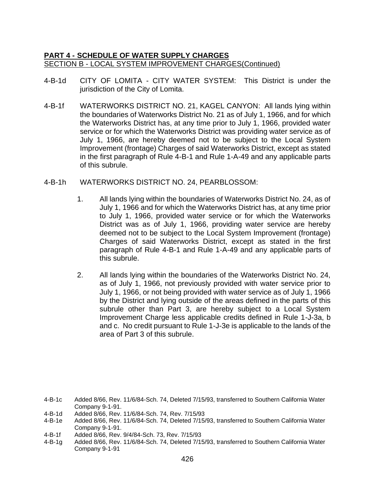- 4-B-1d CITY OF LOMITA CITY WATER SYSTEM: This District is under the jurisdiction of the City of Lomita.
- 4-B-1f WATERWORKS DISTRICT NO. 21, KAGEL CANYON: All lands lying within the boundaries of Waterworks District No. 21 as of July 1, 1966, and for which the Waterworks District has, at any time prior to July 1, 1966, provided water service or for which the Waterworks District was providing water service as of July 1, 1966, are hereby deemed not to be subject to the Local System Improvement (frontage) Charges of said Waterworks District, except as stated in the first paragraph of Rule 4-B-1 and Rule 1-A-49 and any applicable parts of this subrule.
- 4-B-1h WATERWORKS DISTRICT NO. 24, PEARBLOSSOM:
	- 1. All lands lying within the boundaries of Waterworks District No. 24, as of July 1, 1966 and for which the Waterworks District has, at any time prior to July 1, 1966, provided water service or for which the Waterworks District was as of July 1, 1966, providing water service are hereby deemed not to be subject to the Local System Improvement (frontage) Charges of said Waterworks District, except as stated in the first paragraph of Rule 4-B-1 and Rule 1-A-49 and any applicable parts of this subrule.
	- 2. All lands lying within the boundaries of the Waterworks District No. 24, as of July 1, 1966, not previously provided with water service prior to July 1, 1966, or not being provided with water service as of July 1, 1966 by the District and lying outside of the areas defined in the parts of this subrule other than Part 3, are hereby subject to a Local System Improvement Charge less applicable credits defined in Rule 1-J-3a, b and c. No credit pursuant to Rule 1-J-3e is applicable to the lands of the area of Part 3 of this subrule.

- 4-B-1e Added 8/66, Rev. 11/6/84-Sch. 74, Deleted 7/15/93, transferred to Southern California Water Company 9-1-91.
- 4-B-1f Added 8/66, Rev. 9/4/84-Sch. 73, Rev. 7/15/93
- 4-B-1g Added 8/66, Rev. 11/6/84-Sch. 74, Deleted 7/15/93, transferred to Southern California Water Company 9-1-91

<sup>4-</sup>B-1c Added 8/66, Rev. 11/6/84-Sch. 74, Deleted 7/15/93, transferred to Southern California Water Company 9-1-91.

<sup>4-</sup>B-1d Added 8/66, Rev. 11/6/84-Sch. 74, Rev. 7/15/93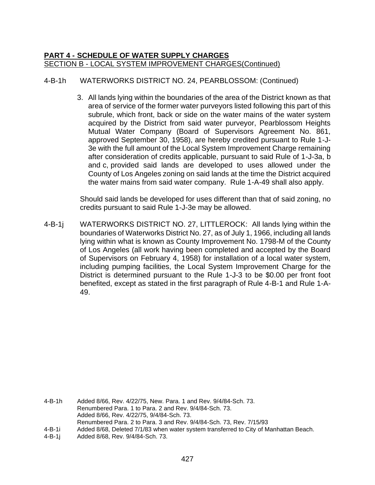# 4-B-1h WATERWORKS DISTRICT NO. 24, PEARBLOSSOM: (Continued)

3. All lands lying within the boundaries of the area of the District known as that area of service of the former water purveyors listed following this part of this subrule, which front, back or side on the water mains of the water system acquired by the District from said water purveyor, Pearblossom Heights Mutual Water Company (Board of Supervisors Agreement No. 861, approved September 30, 1958), are hereby credited pursuant to Rule 1-J-3e with the full amount of the Local System Improvement Charge remaining after consideration of credits applicable, pursuant to said Rule of 1-J-3a, b and c, provided said lands are developed to uses allowed under the County of Los Angeles zoning on said lands at the time the District acquired the water mains from said water company. Rule 1-A-49 shall also apply.

Should said lands be developed for uses different than that of said zoning, no credits pursuant to said Rule 1-J-3e may be allowed.

4-B-1j WATERWORKS DISTRICT NO. 27, LITTLEROCK: All lands lying within the boundaries of Waterworks District No. 27, as of July 1, 1966, including all lands lying within what is known as County Improvement No. 1798-M of the County of Los Angeles (all work having been completed and accepted by the Board of Supervisors on February 4, 1958) for installation of a local water system, including pumping facilities, the Local System Improvement Charge for the District is determined pursuant to the Rule 1-J-3 to be \$0.00 per front foot benefited, except as stated in the first paragraph of Rule 4-B-1 and Rule 1-A-49.

<sup>4-</sup>B-1h Added 8/66, Rev. 4/22/75, New. Para. 1 and Rev. 9/4/84-Sch. 73. Renumbered Para. 1 to Para. 2 and Rev. 9/4/84-Sch. 73. Added 8/66, Rev. 4/22/75, 9/4/84-Sch. 73. Renumbered Para. 2 to Para. 3 and Rev. 9/4/84-Sch. 73, Rev. 7/15/93 4-B-1i Added 8/68, Deleted 7/1/83 when water system transferred to City of Manhattan Beach.

<sup>4-</sup>B-1j Added 8/68, Rev. 9/4/84-Sch. 73.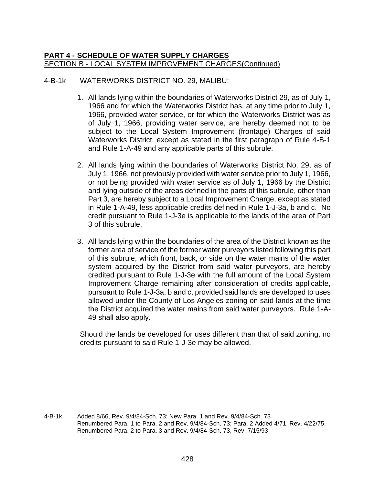## 4-B-1k WATERWORKS DISTRICT NO. 29, MALIBU:

- 1. All lands lying within the boundaries of Waterworks District 29, as of July 1, 1966 and for which the Waterworks District has, at any time prior to July 1, 1966, provided water service, or for which the Waterworks District was as of July 1, 1966, providing water service, are hereby deemed not to be subject to the Local System Improvement (frontage) Charges of said Waterworks District, except as stated in the first paragraph of Rule 4-B-1 and Rule 1-A-49 and any applicable parts of this subrule.
- 2. All lands lying within the boundaries of Waterworks District No. 29, as of July 1, 1966, not previously provided with water service prior to July 1, 1966, or not being provided with water service as of July 1, 1966 by the District and lying outside of the areas defined in the parts of this subrule, other than Part 3, are hereby subject to a Local Improvement Charge, except as stated in Rule 1-A-49, less applicable credits defined in Rule 1-J-3a, b and c. No credit pursuant to Rule 1-J-3e is applicable to the lands of the area of Part 3 of this subrule.
- 3. All lands lying within the boundaries of the area of the District known as the former area of service of the former water purveyors listed following this part of this subrule, which front, back, or side on the water mains of the water system acquired by the District from said water purveyors, are hereby credited pursuant to Rule 1-J-3e with the full amount of the Local System Improvement Charge remaining after consideration of credits applicable, pursuant to Rule 1-J-3a, b and c, provided said lands are developed to uses allowed under the County of Los Angeles zoning on said lands at the time the District acquired the water mains from said water purveyors. Rule 1-A-49 shall also apply.

Should the lands be developed for uses different than that of said zoning, no credits pursuant to said Rule 1-J-3e may be allowed.

4-B-1k Added 8/66, Rev. 9/4/84-Sch. 73; New Para. 1 and Rev. 9/4/84-Sch. 73 Renumbered Para. 1 to Para. 2 and Rev. 9/4/84-Sch. 73; Para. 2 Added 4/71, Rev. 4/22/75, Renumbered Para. 2 to Para. 3 and Rev. 9/4/84-Sch. 73, Rev. 7/15/93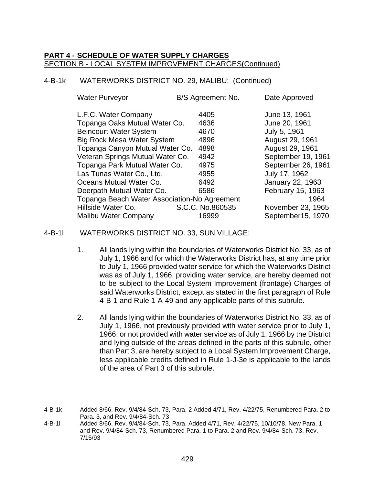## 4-B-1k WATERWORKS DISTRICT NO. 29, MALIBU: (Continued)

| <b>Water Purveyor</b>                        | B/S Agreement No. | Date Approved      |
|----------------------------------------------|-------------------|--------------------|
| L.F.C. Water Company                         | 4405              | June 13, 1961      |
| Topanga Oaks Mutual Water Co.                | 4636              | June 20, 1961      |
| <b>Beincourt Water System</b>                | 4670              | July 5, 1961       |
| <b>Big Rock Mesa Water System</b>            | 4896              | August 29, 1961    |
| Topanga Canyon Mutual Water Co.              | 4898              | August 29, 1961    |
| Veteran Springs Mutual Water Co.             | 4942              | September 19, 1961 |
| Topanga Park Mutual Water Co.                | 4975              | September 26, 1961 |
| Las Tunas Water Co., Ltd.                    | 4955              | July 17, 1962      |
| Oceans Mutual Water Co.                      | 6492              | January 22, 1963   |
| Deerpath Mutual Water Co.                    | 6586              | February 15, 1963  |
| Topanga Beach Water Association-No Agreement |                   | 1964               |
| Hillside Water Co.                           | S.C.C. No.860535  | November 23, 1965  |
| <b>Malibu Water Company</b>                  | 16999             | September15, 1970  |

#### 4-B-1l WATERWORKS DISTRICT NO. 33, SUN VILLAGE:

- 1. All lands lying within the boundaries of Waterworks District No. 33, as of July 1, 1966 and for which the Waterworks District has, at any time prior to July 1, 1966 provided water service for which the Waterworks District was as of July 1, 1966, providing water service, are hereby deemed not to be subject to the Local System Improvement (frontage) Charges of said Waterworks District, except as stated in the first paragraph of Rule 4-B-1 and Rule 1-A-49 and any applicable parts of this subrule.
- 2. All lands lying within the boundaries of Waterworks District No. 33, as of July 1, 1966, not previously provided with water service prior to July 1, 1966, or not provided with water service as of July 1, 1966 by the District and lying outside of the areas defined in the parts of this subrule, other than Part 3, are hereby subject to a Local System Improvement Charge, less applicable credits defined in Rule 1-J-3e is applicable to the lands of the area of Part 3 of this subrule.

<sup>4-</sup>B-1k Added 8/66, Rev. 9/4/84-Sch. 73, Para. 2 Added 4/71, Rev. 4/22/75, Renumbered Para. 2 to Para. 3, and Rev. 9/4/84-Sch. 73

<sup>4-</sup>B-1l Added 8/66, Rev. 9/4/84-Sch. 73, Para. Added 4/71, Rev. 4/22/75, 10/10/78, New Para. 1 and Rev. 9/4/84-Sch. 73, Renumbered Para. 1 to Para. 2 and Rev. 9/4/84-Sch. 73, Rev. 7/15/93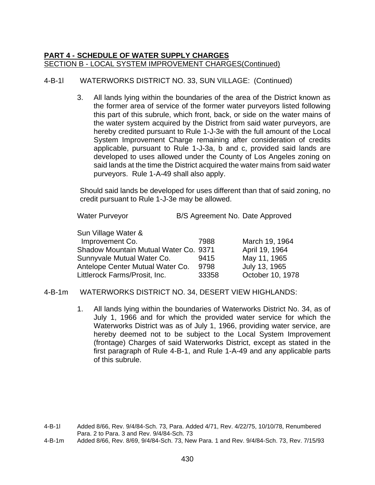# 4-B-1l WATERWORKS DISTRICT NO. 33, SUN VILLAGE: (Continued)

3. All lands lying within the boundaries of the area of the District known as the former area of service of the former water purveyors listed following this part of this subrule, which front, back, or side on the water mains of the water system acquired by the District from said water purveyors, are hereby credited pursuant to Rule 1-J-3e with the full amount of the Local System Improvement Charge remaining after consideration of credits applicable, pursuant to Rule 1-J-3a, b and c, provided said lands are developed to uses allowed under the County of Los Angeles zoning on said lands at the time the District acquired the water mains from said water purveyors. Rule 1-A-49 shall also apply.

Should said lands be developed for uses different than that of said zoning, no credit pursuant to Rule 1-J-3e may be allowed.

| Sun Village Water &                   |       |                  |
|---------------------------------------|-------|------------------|
| Improvement Co.                       | 7988  | March 19, 1964   |
| Shadow Mountain Mutual Water Co. 9371 |       | April 19, 1964   |
| Sunnyvale Mutual Water Co.            | 9415  | May 11, 1965     |
| Antelope Center Mutual Water Co.      | 9798  | July 13, 1965    |
| Littlerock Farms/Prosit, Inc.         | 33358 | October 10, 1978 |

#### 4-B-1m WATERWORKS DISTRICT NO. 34, DESERT VIEW HIGHLANDS:

1. All lands lying within the boundaries of Waterworks District No. 34, as of July 1, 1966 and for which the provided water service for which the Waterworks District was as of July 1, 1966, providing water service, are hereby deemed not to be subject to the Local System Improvement (frontage) Charges of said Waterworks District, except as stated in the first paragraph of Rule 4-B-1, and Rule 1-A-49 and any applicable parts of this subrule.

<sup>4-</sup>B-1l Added 8/66, Rev. 9/4/84-Sch. 73, Para. Added 4/71, Rev. 4/22/75, 10/10/78, Renumbered Para. 2 to Para. 3 and Rev. 9/4/84-Sch. 73

<sup>4-</sup>B-1m Added 8/66, Rev. 8/69, 9/4/84-Sch. 73, New Para. 1 and Rev. 9/4/84-Sch. 73, Rev. 7/15/93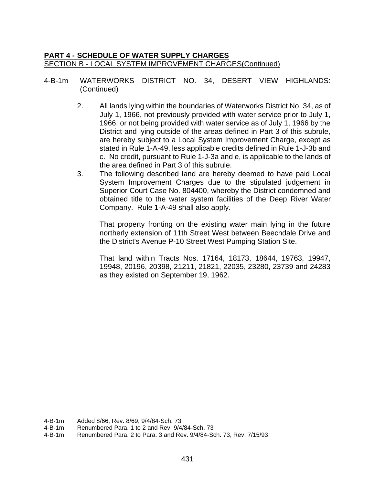- 4-B-1m WATERWORKS DISTRICT NO. 34, DESERT VIEW HIGHLANDS: (Continued)
	- 2. All lands lying within the boundaries of Waterworks District No. 34, as of July 1, 1966, not previously provided with water service prior to July 1, 1966, or not being provided with water service as of July 1, 1966 by the District and lying outside of the areas defined in Part 3 of this subrule, are hereby subject to a Local System Improvement Charge, except as stated in Rule 1-A-49, less applicable credits defined in Rule 1-J-3b and c. No credit, pursuant to Rule 1-J-3a and e, is applicable to the lands of the area defined in Part 3 of this subrule.
	- 3. The following described land are hereby deemed to have paid Local System Improvement Charges due to the stipulated judgement in Superior Court Case No. 804400, whereby the District condemned and obtained title to the water system facilities of the Deep River Water Company. Rule 1-A-49 shall also apply.

That property fronting on the existing water main lying in the future northerly extension of 11th Street West between Beechdale Drive and the District's Avenue P-10 Street West Pumping Station Site.

That land within Tracts Nos. 17164, 18173, 18644, 19763, 19947, 19948, 20196, 20398, 21211, 21821, 22035, 23280, 23739 and 24283 as they existed on September 19, 1962.

- Renumbered Para. 1 to 2 and Rev. 9/4/84-Sch. 73
- 4-B-1m Renumbered Para. 2 to Para. 3 and Rev. 9/4/84-Sch. 73, Rev. 7/15/93

<sup>4-</sup>B-1m Added 8/66, Rev. 8/69, 9/4/84-Sch. 73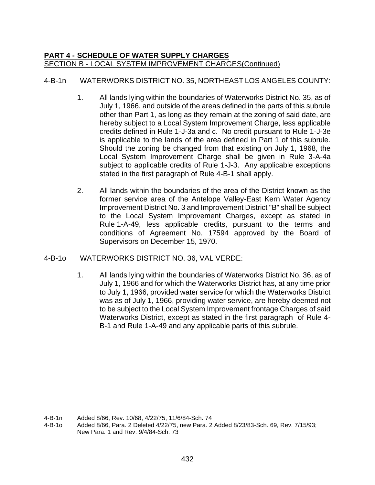# 4-B-1n WATERWORKS DISTRICT NO. 35, NORTHEAST LOS ANGELES COUNTY:

- 1. All lands lying within the boundaries of Waterworks District No. 35, as of July 1, 1966, and outside of the areas defined in the parts of this subrule other than Part 1, as long as they remain at the zoning of said date, are hereby subject to a Local System Improvement Charge, less applicable credits defined in Rule 1-J-3a and c. No credit pursuant to Rule 1-J-3e is applicable to the lands of the area defined in Part 1 of this subrule. Should the zoning be changed from that existing on July 1, 1968, the Local System Improvement Charge shall be given in Rule 3-A-4a subject to applicable credits of Rule 1-J-3. Any applicable exceptions stated in the first paragraph of Rule 4-B-1 shall apply.
- 2. All lands within the boundaries of the area of the District known as the former service area of the Antelope Valley-East Kern Water Agency Improvement District No. 3 and Improvement District "B" shall be subject to the Local System Improvement Charges, except as stated in Rule 1-A-49, less applicable credits, pursuant to the terms and conditions of Agreement No. 17594 approved by the Board of Supervisors on December 15, 1970.

# 4-B-1o WATERWORKS DISTRICT NO. 36, VAL VERDE:

1. All lands lying within the boundaries of Waterworks District No. 36, as of July 1, 1966 and for which the Waterworks District has, at any time prior to July 1, 1966, provided water service for which the Waterworks District was as of July 1, 1966, providing water service, are hereby deemed not to be subject to the Local System Improvement frontage Charges of said Waterworks District, except as stated in the first paragraph of Rule 4- B-1 and Rule 1-A-49 and any applicable parts of this subrule.

<sup>4-</sup>B-1n Added 8/66, Rev. 10/68, 4/22/75, 11/6/84-Sch. 74

<sup>4-</sup>B-1o Added 8/66, Para. 2 Deleted 4/22/75, new Para. 2 Added 8/23/83-Sch. 69, Rev. 7/15/93; New Para. 1 and Rev. 9/4/84-Sch. 73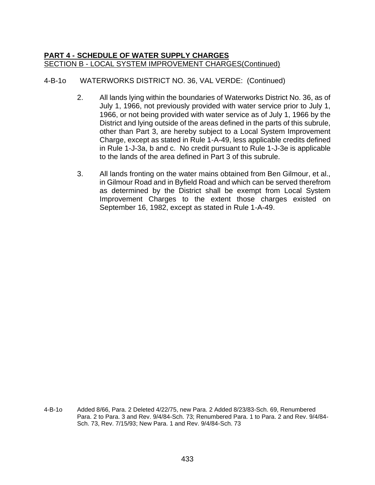# 4-B-1o WATERWORKS DISTRICT NO. 36, VAL VERDE: (Continued)

- 2. All lands lying within the boundaries of Waterworks District No. 36, as of July 1, 1966, not previously provided with water service prior to July 1, 1966, or not being provided with water service as of July 1, 1966 by the District and lying outside of the areas defined in the parts of this subrule, other than Part 3, are hereby subject to a Local System Improvement Charge, except as stated in Rule 1-A-49, less applicable credits defined in Rule 1-J-3a, b and c. No credit pursuant to Rule 1-J-3e is applicable to the lands of the area defined in Part 3 of this subrule.
- 3. All lands fronting on the water mains obtained from Ben Gilmour, et al., in Gilmour Road and in Byfield Road and which can be served therefrom as determined by the District shall be exempt from Local System Improvement Charges to the extent those charges existed on September 16, 1982, except as stated in Rule 1-A-49.

4-B-1o Added 8/66, Para. 2 Deleted 4/22/75, new Para. 2 Added 8/23/83-Sch. 69, Renumbered Para. 2 to Para. 3 and Rev. 9/4/84-Sch. 73; Renumbered Para. 1 to Para. 2 and Rev. 9/4/84- Sch. 73, Rev. 7/15/93; New Para. 1 and Rev. 9/4/84-Sch. 73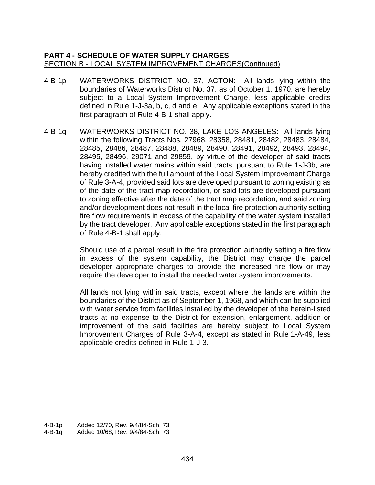- 4-B-1p WATERWORKS DISTRICT NO. 37, ACTON: All lands lying within the boundaries of Waterworks District No. 37, as of October 1, 1970, are hereby subject to a Local System Improvement Charge, less applicable credits defined in Rule 1-J-3a, b, c, d and e. Any applicable exceptions stated in the first paragraph of Rule 4-B-1 shall apply.
- 4-B-1q WATERWORKS DISTRICT NO. 38, LAKE LOS ANGELES: All lands lying within the following Tracts Nos. 27968, 28358, 28481, 28482, 28483, 28484, 28485, 28486, 28487, 28488, 28489, 28490, 28491, 28492, 28493, 28494, 28495, 28496, 29071 and 29859, by virtue of the developer of said tracts having installed water mains within said tracts, pursuant to Rule 1-J-3b, are hereby credited with the full amount of the Local System Improvement Charge of Rule 3-A-4, provided said lots are developed pursuant to zoning existing as of the date of the tract map recordation, or said lots are developed pursuant to zoning effective after the date of the tract map recordation, and said zoning and/or development does not result in the local fire protection authority setting fire flow requirements in excess of the capability of the water system installed by the tract developer. Any applicable exceptions stated in the first paragraph of Rule 4-B-1 shall apply.

Should use of a parcel result in the fire protection authority setting a fire flow in excess of the system capability, the District may charge the parcel developer appropriate charges to provide the increased fire flow or may require the developer to install the needed water system improvements.

All lands not lying within said tracts, except where the lands are within the boundaries of the District as of September 1, 1968, and which can be supplied with water service from facilities installed by the developer of the herein-listed tracts at no expense to the District for extension, enlargement, addition or improvement of the said facilities are hereby subject to Local System Improvement Charges of Rule 3-A-4, except as stated in Rule 1-A-49, less applicable credits defined in Rule 1-J-3.

<sup>4-</sup>B-1p Added 12/70, Rev. 9/4/84-Sch. 73 4-B-1q Added 10/68, Rev. 9/4/84-Sch. 73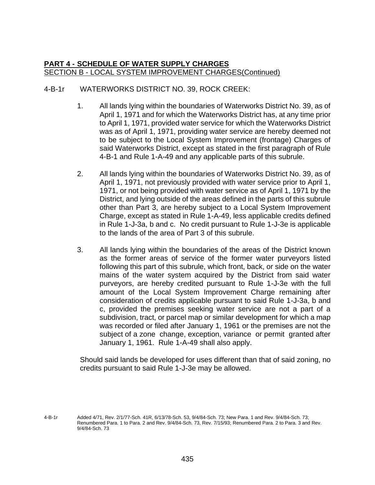## 4-B-1r WATERWORKS DISTRICT NO. 39, ROCK CREEK:

- 1. All lands lying within the boundaries of Waterworks District No. 39, as of April 1, 1971 and for which the Waterworks District has, at any time prior to April 1, 1971, provided water service for which the Waterworks District was as of April 1, 1971, providing water service are hereby deemed not to be subject to the Local System Improvement (frontage) Charges of said Waterworks District, except as stated in the first paragraph of Rule 4-B-1 and Rule 1-A-49 and any applicable parts of this subrule.
- 2. All lands lying within the boundaries of Waterworks District No. 39, as of April 1, 1971, not previously provided with water service prior to April 1, 1971, or not being provided with water service as of April 1, 1971 by the District, and lying outside of the areas defined in the parts of this subrule other than Part 3, are hereby subject to a Local System Improvement Charge, except as stated in Rule 1-A-49, less applicable credits defined in Rule 1-J-3a, b and c. No credit pursuant to Rule 1-J-3e is applicable to the lands of the area of Part 3 of this subrule.
- 3. All lands lying within the boundaries of the areas of the District known as the former areas of service of the former water purveyors listed following this part of this subrule, which front, back, or side on the water mains of the water system acquired by the District from said water purveyors, are hereby credited pursuant to Rule 1-J-3e with the full amount of the Local System Improvement Charge remaining after consideration of credits applicable pursuant to said Rule 1-J-3a, b and c, provided the premises seeking water service are not a part of a subdivision, tract, or parcel map or similar development for which a map was recorded or filed after January 1, 1961 or the premises are not the subject of a zone change, exception, variance or permit granted after January 1, 1961. Rule 1-A-49 shall also apply.

Should said lands be developed for uses different than that of said zoning, no credits pursuant to said Rule 1-J-3e may be allowed.

<sup>4-</sup>B-1r Added 4/71, Rev. 2/1/77-Sch. 41R, 6/13/78-Sch. 53, 9/4/84-Sch. 73; New Para. 1 and Rev. 9/4/84-Sch. 73; Renumbered Para. 1 to Para. 2 and Rev. 9/4/84-Sch. 73, Rev. 7/15/93; Renumbered Para. 2 to Para. 3 and Rev. 9/4/84-Sch. 73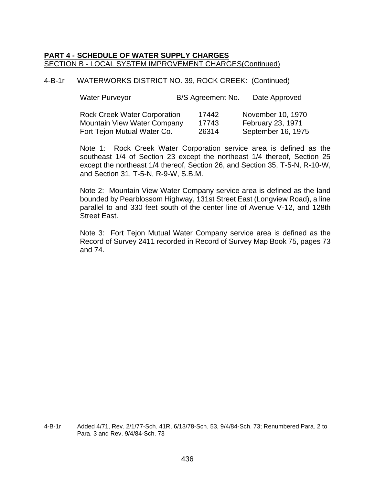4-B-1r WATERWORKS DISTRICT NO. 39, ROCK CREEK: (Continued)

| <b>Water Purveyor</b>               | B/S Agreement No. | Date Approved      |
|-------------------------------------|-------------------|--------------------|
| <b>Rock Creek Water Corporation</b> | 17442             | November 10, 1970  |
| <b>Mountain View Water Company</b>  | 17743             | February 23, 1971  |
| Fort Tejon Mutual Water Co.         | 26314             | September 16, 1975 |

Note 1: Rock Creek Water Corporation service area is defined as the southeast 1/4 of Section 23 except the northeast 1/4 thereof, Section 25 except the northeast 1/4 thereof, Section 26, and Section 35, T-5-N, R-10-W, and Section 31, T-5-N, R-9-W, S.B.M.

Note 2: Mountain View Water Company service area is defined as the land bounded by Pearblossom Highway, 131st Street East (Longview Road), a line parallel to and 330 feet south of the center line of Avenue V-12, and 128th Street East.

Note 3: Fort Tejon Mutual Water Company service area is defined as the Record of Survey 2411 recorded in Record of Survey Map Book 75, pages 73 and 74.

4-B-1r Added 4/71, Rev. 2/1/77-Sch. 41R, 6/13/78-Sch. 53, 9/4/84-Sch. 73; Renumbered Para. 2 to Para. 3 and Rev. 9/4/84-Sch. 73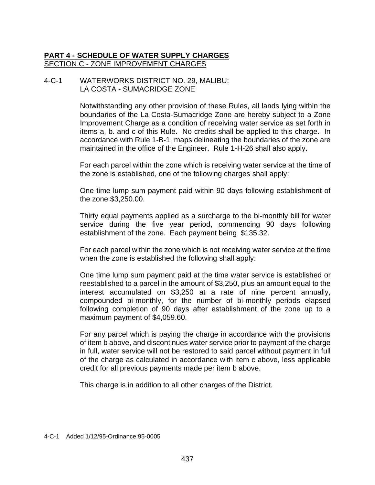# **PART 4 - SCHEDULE OF WATER SUPPLY CHARGES** SECTION C - ZONE IMPROVEMENT CHARGES

#### 4-C-1 WATERWORKS DISTRICT NO. 29, MALIBU: LA COSTA - SUMACRIDGE ZONE

Notwithstanding any other provision of these Rules, all lands lying within the boundaries of the La Costa-Sumacridge Zone are hereby subject to a Zone Improvement Charge as a condition of receiving water service as set forth in items a, b. and c of this Rule. No credits shall be applied to this charge. In accordance with Rule 1-B-1, maps delineating the boundaries of the zone are maintained in the office of the Engineer. Rule 1-H-26 shall also apply.

For each parcel within the zone which is receiving water service at the time of the zone is established, one of the following charges shall apply:

One time lump sum payment paid within 90 days following establishment of the zone \$3,250.00.

Thirty equal payments applied as a surcharge to the bi-monthly bill for water service during the five year period, commencing 90 days following establishment of the zone. Each payment being \$135.32.

For each parcel within the zone which is not receiving water service at the time when the zone is established the following shall apply:

One time lump sum payment paid at the time water service is established or reestablished to a parcel in the amount of \$3,250, plus an amount equal to the interest accumulated on \$3,250 at a rate of nine percent annually, compounded bi-monthly, for the number of bi-monthly periods elapsed following completion of 90 days after establishment of the zone up to a maximum payment of \$4,059.60.

For any parcel which is paying the charge in accordance with the provisions of item b above, and discontinues water service prior to payment of the charge in full, water service will not be restored to said parcel without payment in full of the charge as calculated in accordance with item c above, less applicable credit for all previous payments made per item b above.

This charge is in addition to all other charges of the District.

4-C-1 Added 1/12/95-Ordinance 95-0005